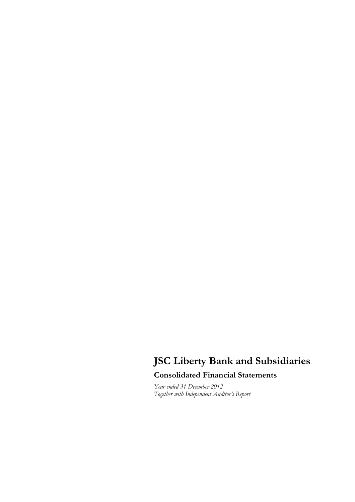# **JSC Liberty Bank and Subsidiaries**

# **Consolidated Financial Statements**

*Year ended 31 December 2012 Together with Independent Auditor's Report*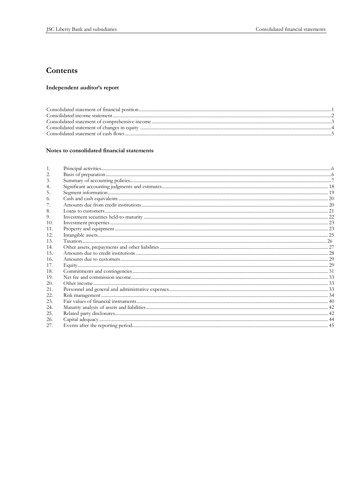# Contents

# Independent auditor's report

#### Notes to consolidated financial statements

| 3.  |  |
|-----|--|
|     |  |
| 5.  |  |
| 6.  |  |
|     |  |
| -8. |  |
| 9.  |  |
| 10. |  |
| 11. |  |
| 12. |  |
| 13. |  |
| 14. |  |
| 15. |  |
| 16. |  |
| 17. |  |
| 18. |  |
| 19. |  |
| 20. |  |
| 21. |  |
| 22. |  |
| 23. |  |
| 24. |  |
| 25. |  |
| 26. |  |
| 27. |  |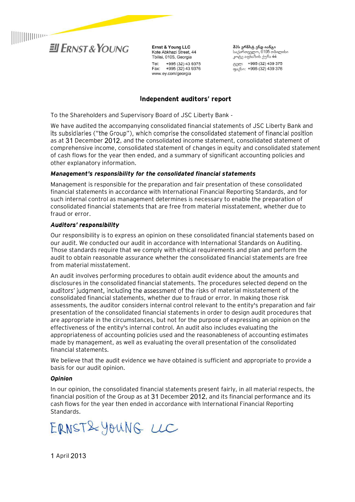

**Ernst & Young LLC** Kote Abkhazi Street, 44 Tbilisi, 0105, Georgia +995 (32) 43 9375 Tel: Fax: +995 (32) 43 9376 www.ey.com/georgia

**შპს ერნსტ ენდ იანგი**<br>საქართველო, 0105 თბილისი<br>კოტე აფხაზის ქუჩა 44 ტელ: +995 (32) 439 375 ფაქსი: +995 (32) 439 376

# Independent auditors' report

To the Shareholders and Supervisory Board of JSC Liberty Bank -

We have audited the accompanying consolidated financial statements of JSC Liberty Bank and its subsidiaries ("the Group"), which comprise the consolidated statement of financial position as at 31 December 2012, and the consolidated income statement, consolidated statement of comprehensive income, consolidated statement of changes in equity and consolidated statement of cash flows for the year then ended, and a summary of significant accounting policies and other explanatory information.

# *Management's responsibility for the consolidated financial statements*

Management is responsible for the preparation and fair presentation of these consolidated financial statements in accordance with International Financial Reporting Standards, and for such internal control as management determines is necessary to enable the preparation of consolidated financial statements that are free from material misstatement, whether due to fraud or error.

# Auditors' responsibility

Our responsibility is to express an opinion on these consolidated financial statements based on our audit. We conducted our audit in accordance with International Standards on Auditing. Those standards require that we comply with ethical requirements and plan and perform the audit to obtain reasonable assurance whether the consolidated financial statements are free from material misstatement.

An audit involves performing procedures to obtain audit evidence about the amounts and disclosures in the consolidated financial statements. The procedures selected depend on the auditors' judgment, including the assessment of the risks of material misstatement of the consolidated financial statements, whether due to fraud or error. In making those risk assessments, the auditor considers internal control relevant to the entity's preparation and fair presentation of the consolidated financial statements in order to design audit procedures that are appropriate in the circumstances, but not for the purpose of expressing an opinion on the effectiveness of the entity's internal control. An audit also includes evaluating the appropriateness of accounting policies used and the reasonableness of accounting estimates made by management, as well as evaluating the overall presentation of the consolidated financial statements.

We believe that the audit evidence we have obtained is sufficient and appropriate to provide a basis for our audit opinion.

# *Opinion*

In our opinion, the consolidated financial statements present fairly, in all material respects, the financial position of the Group as at 31 December 2012, and its financial performance and its cash flows for the year then ended in accordance with International Financial Reporting Standards.

ERNST&YOUNG LLC

1 April 2013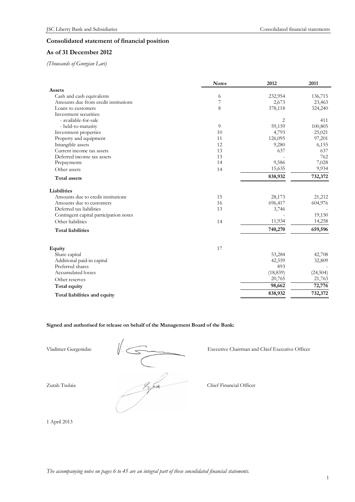# **Consolidated statement of financial position**

# **As of 31 December 2012**

*(Thousands of Georgian Lari)* 

|                                        | <b>Notes</b> | 2012           | 2011      |
|----------------------------------------|--------------|----------------|-----------|
| Assets                                 |              |                |           |
| Cash and cash equivalents              | 6            | 232,954        | 136,715   |
| Amounts due from credit institutions   | 7            | 2,673          | 23,463    |
| Loans to customers                     | 8            | 378,118        | 324,240   |
| Investment securities:                 |              |                |           |
| - available-for-sale                   |              | $\overline{2}$ | 411       |
| - held-to-maturity                     | 9            | 59,159         | 100,805   |
| Investment properties                  | 10           | 4,793          | 25,021    |
| Property and equipment                 | 11           | 126,095        | 97,201    |
| Intangible assets                      | 12           | 9,280          | 6,155     |
| Current income tax assets              | 13           | 637            | 637       |
| Deferred income tax assets             | 13           |                | 762       |
| Prepayments                            | 14           | 9,586          | 7,028     |
| Other assets                           | 14           | 15,635         | 9,934     |
| <b>Total assets</b>                    |              | 838,932        | 732,372   |
| Liabilities                            |              |                |           |
| Amounts due to credit institutions     | 15           | 28,173         | 21,212    |
| Amounts due to customers               | 16           | 696,417        | 604,976   |
| Deferred tax liabilities               | 13           | 3,746          |           |
| Contingent capital participation notes |              |                | 19,150    |
| Other liabilities                      | 14           | 11,934         | 14,258    |
| <b>Total liabilities</b>               |              | 740,270        | 659,596   |
|                                        |              |                |           |
| Equity                                 | 17           |                |           |
| Share capital                          |              | 53,284         | 42,708    |
| Additional paid-in capital             |              | 42,559         | 32,809    |
| Preferred shares                       |              | 893            |           |
| Accumulated losses                     |              | (18, 839)      | (24, 504) |
| Other reserves                         |              | 20,765         | 21,763    |
| Total equity                           |              | 98,662         | 72,776    |
| Total liabilities and equity           |              | 838,932        | 732,372   |

### **Signed and authorised for release on behalf of the Management Board of the Bank:**

Vladimer Gurgenidze  $\sqrt{\frac{2 \cdot 5 \cdot 6}{2 \cdot 6 \cdot 6}}$  Executive Chairman and Executive Chairman and Chief Financial Officer

Vladimer Gurgenidze  $\|$  Executive Chairman and Chief Executive Officer

1 April 2013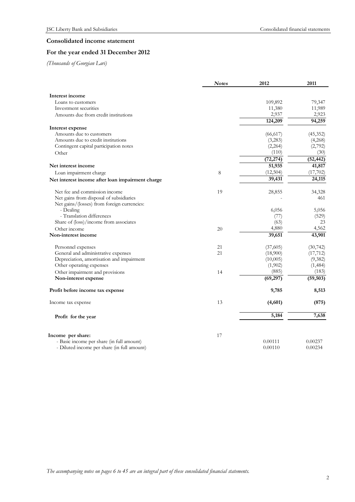# **Consolidated income statement**

# **For the year ended 31 December 2012**

*(Thousands of Georgian Lari)* 

| Interest income<br>109,892<br>79,347<br>Loans to customers<br>11,989<br>Investment securities<br>11,380<br>2,937<br>2,923<br>Amounts due from credit institutions<br>124,209<br>94,259<br>Interest expense<br>Amounts due to customers<br>(66, 617)<br>(45,352)<br>Amounts due to credit institutions<br>(3,283)<br>(4,268)<br>Contingent capital participation notes<br>(2,792)<br>(2,264)<br>(110)<br>(30)<br>Other<br>(72, 274)<br>(52, 442)<br>51,935<br>41,817<br>Net interest income<br>(12,504)<br>(17,702)<br>8<br>Loan impairment charge<br>39,431<br>24,115<br>Net interest income after loan impairment charge<br>Net fee and commission income<br>19<br>28,855<br>34,328<br>Net gains from disposal of subsidiaries<br>461<br>Net gains/(losses) from foreign currencies:<br>- Dealing<br>6,056<br>5,056<br>- Translation differences<br>(77)<br>(529)<br>Share of (loss)/income from associates<br>(63)<br>23<br>4,880<br>4,562<br>Other income<br>20<br>39,651<br>43,901<br>Non-interest income<br>21<br>(37,605)<br>Personnel expenses<br>(30, 742)<br>General and administrative expenses<br>21<br>(17, 712)<br>(18,900)<br>Depreciation, amortisation and impairment<br>(10,005)<br>(9,382)<br>Other operating expenses<br>(1,902)<br>(1,484)<br>(885)<br>(183)<br>Other impairment and provisions<br>14<br>Non-interest expense<br>(69, 297)<br>(59, 503)<br>9,785<br>8,513<br>Profit before income tax expense<br>13<br>(4,601)<br>(875)<br>Income tax expense<br>7,638<br>5,184<br>Profit for the year<br>Income per share:<br>17<br>- Basic income per share (in full amount)<br>0.00111<br>0.00237<br>- Diluted income per share (in full amount)<br>0.00110<br>0.00234 | <b>Notes</b> | 2012 | 2011 |
|-----------------------------------------------------------------------------------------------------------------------------------------------------------------------------------------------------------------------------------------------------------------------------------------------------------------------------------------------------------------------------------------------------------------------------------------------------------------------------------------------------------------------------------------------------------------------------------------------------------------------------------------------------------------------------------------------------------------------------------------------------------------------------------------------------------------------------------------------------------------------------------------------------------------------------------------------------------------------------------------------------------------------------------------------------------------------------------------------------------------------------------------------------------------------------------------------------------------------------------------------------------------------------------------------------------------------------------------------------------------------------------------------------------------------------------------------------------------------------------------------------------------------------------------------------------------------------------------------------------------------------------------------------------------------------------------------|--------------|------|------|
|                                                                                                                                                                                                                                                                                                                                                                                                                                                                                                                                                                                                                                                                                                                                                                                                                                                                                                                                                                                                                                                                                                                                                                                                                                                                                                                                                                                                                                                                                                                                                                                                                                                                                               |              |      |      |
|                                                                                                                                                                                                                                                                                                                                                                                                                                                                                                                                                                                                                                                                                                                                                                                                                                                                                                                                                                                                                                                                                                                                                                                                                                                                                                                                                                                                                                                                                                                                                                                                                                                                                               |              |      |      |
|                                                                                                                                                                                                                                                                                                                                                                                                                                                                                                                                                                                                                                                                                                                                                                                                                                                                                                                                                                                                                                                                                                                                                                                                                                                                                                                                                                                                                                                                                                                                                                                                                                                                                               |              |      |      |
|                                                                                                                                                                                                                                                                                                                                                                                                                                                                                                                                                                                                                                                                                                                                                                                                                                                                                                                                                                                                                                                                                                                                                                                                                                                                                                                                                                                                                                                                                                                                                                                                                                                                                               |              |      |      |
|                                                                                                                                                                                                                                                                                                                                                                                                                                                                                                                                                                                                                                                                                                                                                                                                                                                                                                                                                                                                                                                                                                                                                                                                                                                                                                                                                                                                                                                                                                                                                                                                                                                                                               |              |      |      |
|                                                                                                                                                                                                                                                                                                                                                                                                                                                                                                                                                                                                                                                                                                                                                                                                                                                                                                                                                                                                                                                                                                                                                                                                                                                                                                                                                                                                                                                                                                                                                                                                                                                                                               |              |      |      |
|                                                                                                                                                                                                                                                                                                                                                                                                                                                                                                                                                                                                                                                                                                                                                                                                                                                                                                                                                                                                                                                                                                                                                                                                                                                                                                                                                                                                                                                                                                                                                                                                                                                                                               |              |      |      |
|                                                                                                                                                                                                                                                                                                                                                                                                                                                                                                                                                                                                                                                                                                                                                                                                                                                                                                                                                                                                                                                                                                                                                                                                                                                                                                                                                                                                                                                                                                                                                                                                                                                                                               |              |      |      |
|                                                                                                                                                                                                                                                                                                                                                                                                                                                                                                                                                                                                                                                                                                                                                                                                                                                                                                                                                                                                                                                                                                                                                                                                                                                                                                                                                                                                                                                                                                                                                                                                                                                                                               |              |      |      |
|                                                                                                                                                                                                                                                                                                                                                                                                                                                                                                                                                                                                                                                                                                                                                                                                                                                                                                                                                                                                                                                                                                                                                                                                                                                                                                                                                                                                                                                                                                                                                                                                                                                                                               |              |      |      |
|                                                                                                                                                                                                                                                                                                                                                                                                                                                                                                                                                                                                                                                                                                                                                                                                                                                                                                                                                                                                                                                                                                                                                                                                                                                                                                                                                                                                                                                                                                                                                                                                                                                                                               |              |      |      |
|                                                                                                                                                                                                                                                                                                                                                                                                                                                                                                                                                                                                                                                                                                                                                                                                                                                                                                                                                                                                                                                                                                                                                                                                                                                                                                                                                                                                                                                                                                                                                                                                                                                                                               |              |      |      |
|                                                                                                                                                                                                                                                                                                                                                                                                                                                                                                                                                                                                                                                                                                                                                                                                                                                                                                                                                                                                                                                                                                                                                                                                                                                                                                                                                                                                                                                                                                                                                                                                                                                                                               |              |      |      |
|                                                                                                                                                                                                                                                                                                                                                                                                                                                                                                                                                                                                                                                                                                                                                                                                                                                                                                                                                                                                                                                                                                                                                                                                                                                                                                                                                                                                                                                                                                                                                                                                                                                                                               |              |      |      |
|                                                                                                                                                                                                                                                                                                                                                                                                                                                                                                                                                                                                                                                                                                                                                                                                                                                                                                                                                                                                                                                                                                                                                                                                                                                                                                                                                                                                                                                                                                                                                                                                                                                                                               |              |      |      |
|                                                                                                                                                                                                                                                                                                                                                                                                                                                                                                                                                                                                                                                                                                                                                                                                                                                                                                                                                                                                                                                                                                                                                                                                                                                                                                                                                                                                                                                                                                                                                                                                                                                                                               |              |      |      |
|                                                                                                                                                                                                                                                                                                                                                                                                                                                                                                                                                                                                                                                                                                                                                                                                                                                                                                                                                                                                                                                                                                                                                                                                                                                                                                                                                                                                                                                                                                                                                                                                                                                                                               |              |      |      |
|                                                                                                                                                                                                                                                                                                                                                                                                                                                                                                                                                                                                                                                                                                                                                                                                                                                                                                                                                                                                                                                                                                                                                                                                                                                                                                                                                                                                                                                                                                                                                                                                                                                                                               |              |      |      |
|                                                                                                                                                                                                                                                                                                                                                                                                                                                                                                                                                                                                                                                                                                                                                                                                                                                                                                                                                                                                                                                                                                                                                                                                                                                                                                                                                                                                                                                                                                                                                                                                                                                                                               |              |      |      |
|                                                                                                                                                                                                                                                                                                                                                                                                                                                                                                                                                                                                                                                                                                                                                                                                                                                                                                                                                                                                                                                                                                                                                                                                                                                                                                                                                                                                                                                                                                                                                                                                                                                                                               |              |      |      |
|                                                                                                                                                                                                                                                                                                                                                                                                                                                                                                                                                                                                                                                                                                                                                                                                                                                                                                                                                                                                                                                                                                                                                                                                                                                                                                                                                                                                                                                                                                                                                                                                                                                                                               |              |      |      |
|                                                                                                                                                                                                                                                                                                                                                                                                                                                                                                                                                                                                                                                                                                                                                                                                                                                                                                                                                                                                                                                                                                                                                                                                                                                                                                                                                                                                                                                                                                                                                                                                                                                                                               |              |      |      |
|                                                                                                                                                                                                                                                                                                                                                                                                                                                                                                                                                                                                                                                                                                                                                                                                                                                                                                                                                                                                                                                                                                                                                                                                                                                                                                                                                                                                                                                                                                                                                                                                                                                                                               |              |      |      |
|                                                                                                                                                                                                                                                                                                                                                                                                                                                                                                                                                                                                                                                                                                                                                                                                                                                                                                                                                                                                                                                                                                                                                                                                                                                                                                                                                                                                                                                                                                                                                                                                                                                                                               |              |      |      |
|                                                                                                                                                                                                                                                                                                                                                                                                                                                                                                                                                                                                                                                                                                                                                                                                                                                                                                                                                                                                                                                                                                                                                                                                                                                                                                                                                                                                                                                                                                                                                                                                                                                                                               |              |      |      |
|                                                                                                                                                                                                                                                                                                                                                                                                                                                                                                                                                                                                                                                                                                                                                                                                                                                                                                                                                                                                                                                                                                                                                                                                                                                                                                                                                                                                                                                                                                                                                                                                                                                                                               |              |      |      |
|                                                                                                                                                                                                                                                                                                                                                                                                                                                                                                                                                                                                                                                                                                                                                                                                                                                                                                                                                                                                                                                                                                                                                                                                                                                                                                                                                                                                                                                                                                                                                                                                                                                                                               |              |      |      |
|                                                                                                                                                                                                                                                                                                                                                                                                                                                                                                                                                                                                                                                                                                                                                                                                                                                                                                                                                                                                                                                                                                                                                                                                                                                                                                                                                                                                                                                                                                                                                                                                                                                                                               |              |      |      |
|                                                                                                                                                                                                                                                                                                                                                                                                                                                                                                                                                                                                                                                                                                                                                                                                                                                                                                                                                                                                                                                                                                                                                                                                                                                                                                                                                                                                                                                                                                                                                                                                                                                                                               |              |      |      |
|                                                                                                                                                                                                                                                                                                                                                                                                                                                                                                                                                                                                                                                                                                                                                                                                                                                                                                                                                                                                                                                                                                                                                                                                                                                                                                                                                                                                                                                                                                                                                                                                                                                                                               |              |      |      |
|                                                                                                                                                                                                                                                                                                                                                                                                                                                                                                                                                                                                                                                                                                                                                                                                                                                                                                                                                                                                                                                                                                                                                                                                                                                                                                                                                                                                                                                                                                                                                                                                                                                                                               |              |      |      |
|                                                                                                                                                                                                                                                                                                                                                                                                                                                                                                                                                                                                                                                                                                                                                                                                                                                                                                                                                                                                                                                                                                                                                                                                                                                                                                                                                                                                                                                                                                                                                                                                                                                                                               |              |      |      |
|                                                                                                                                                                                                                                                                                                                                                                                                                                                                                                                                                                                                                                                                                                                                                                                                                                                                                                                                                                                                                                                                                                                                                                                                                                                                                                                                                                                                                                                                                                                                                                                                                                                                                               |              |      |      |
|                                                                                                                                                                                                                                                                                                                                                                                                                                                                                                                                                                                                                                                                                                                                                                                                                                                                                                                                                                                                                                                                                                                                                                                                                                                                                                                                                                                                                                                                                                                                                                                                                                                                                               |              |      |      |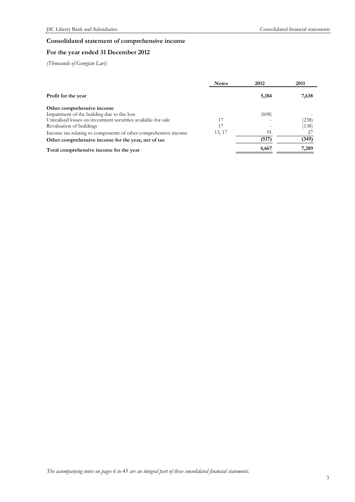# **Consolidated statement of comprehensive income**

# **For the year ended 31 December 2012**

*(Thousands of Georgian Lari)* 

|                                                                 | <b>Notes</b> | 2012  | 2011  |
|-----------------------------------------------------------------|--------------|-------|-------|
| Profit for the year                                             |              | 5,184 | 7,638 |
| Other comprehensive income                                      |              |       |       |
| Impairment of the building due to fire loss                     |              | (608) |       |
| Unrealised losses on investment securities available-for-sale   | 17           |       | (238) |
| Revaluation of buildings                                        | 17           |       | (138) |
| Income tax relating to components of other comprehensive income | 13, 17       | 91    |       |
| Other comprehensive income for the year, net of tax             |              | (517) | (349) |
| Total comprehensive income for the year                         |              | 4,667 | 7,289 |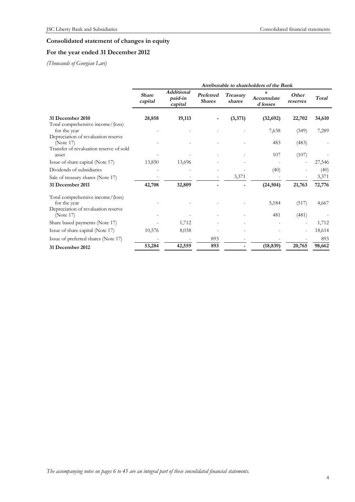# **Consolidated statement of changes in equity**

# **For the year ended 31 December 2012**

*(Thousands of Georgian Lari)* 

|                                                  | Attributable to shareholders of the Bank |                                         |                            |                           |                             |                   |        |
|--------------------------------------------------|------------------------------------------|-----------------------------------------|----------------------------|---------------------------|-----------------------------|-------------------|--------|
|                                                  | <b>Share</b><br>capital                  | <b>Additional</b><br>paid-in<br>capital | Preferred<br><b>Shares</b> | <b>Treasury</b><br>shares | s<br>Accumulate<br>d losses | Other<br>reserves | Total  |
| 31 December 2010                                 | 28,858                                   | 19,113                                  |                            | (3,371)                   | (32, 692)                   | 22,702            | 34,610 |
| Total comprehensive income/(loss)                |                                          |                                         |                            |                           |                             |                   |        |
| for the year                                     |                                          |                                         |                            |                           | 7,638                       | (349)             | 7,289  |
| Depreciation of revaluation reserve              |                                          |                                         |                            |                           |                             |                   |        |
| (Note 17)                                        |                                          |                                         |                            |                           | 483                         | (483)             |        |
| Transfer of revaluation reserve of sold<br>asset |                                          |                                         |                            |                           | 107                         | (107)             |        |
| Issue of share capital (Note 17)                 | 13,850                                   | 13,696                                  |                            |                           |                             |                   | 27,546 |
| Dividends of subsidiaries                        |                                          |                                         |                            |                           | (40)                        |                   | (40)   |
| Sale of treasury shares (Note 17)                |                                          |                                         |                            | 3,371                     |                             |                   | 3,371  |
| 31 December 2011                                 | 42,708                                   | 32,809                                  |                            |                           | (24, 504)                   | 21,763            | 72,776 |
| Total comprehensive income/(loss)                |                                          |                                         |                            |                           |                             |                   |        |
| for the year                                     |                                          |                                         |                            |                           | 5,184                       | (517)             | 4,667  |
| Depreciation of revaluation reserve<br>(Note 17) |                                          |                                         |                            |                           | 481                         | (481)             |        |
| Share based payments (Note 17)                   |                                          | 1,712                                   |                            |                           |                             |                   | 1,712  |
| Issue of share capital (Note 17)                 | 10,576                                   | 8,038                                   |                            |                           |                             |                   | 18,614 |
|                                                  |                                          |                                         | 893                        |                           |                             |                   | 893    |
| Issue of preferred shares (Note 17)              |                                          |                                         |                            |                           |                             |                   |        |
| 31 December 2012                                 | 53,284                                   | 42,559                                  | 893                        |                           | (18, 839)                   | 20,765            | 98,662 |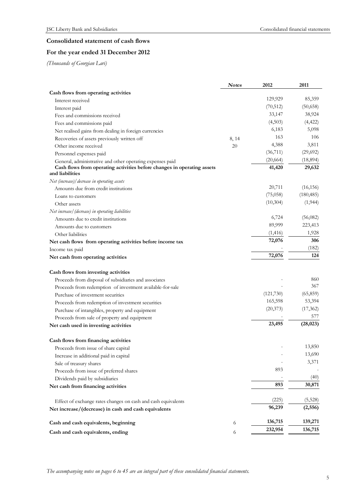# **Consolidated statement of cash flows**

# **For the year ended 31 December 2012**

*(Thousands of Georgian Lari)* 

|                                                                         | <b>Notes</b> | 2012      | 2011       |
|-------------------------------------------------------------------------|--------------|-----------|------------|
| Cash flows from operating activities                                    |              |           |            |
| Interest received                                                       |              | 129,929   | 85,359     |
| Interest paid                                                           |              | (70, 512) | (50, 658)  |
| Fees and commissions received                                           |              | 33,147    | 38,924     |
| Fees and commissions paid                                               |              | (4,503)   | (4, 422)   |
| Net realised gains from dealing in foreign currencies                   |              | 6,183     | 5,098      |
| Recoveries of assets previously written off                             | 8, 14        | 163       | 106        |
| Other income received                                                   | 20           | 4,388     | 3,811      |
| Personnel expenses paid                                                 |              | (36, 711) | (29,692)   |
| General, administrative and other operating expenses paid               |              | (20, 664) | (18,894)   |
| Cash flows from operating activities before changes in operating assets |              | 41,420    | 29,632     |
| and liabilities                                                         |              |           |            |
| Net (increase)/ decrease in operating assets                            |              |           |            |
| Amounts due from credit institutions                                    |              | 20,711    | (16, 156)  |
| Loans to customers                                                      |              | (75,058)  | (180, 485) |
| Other assets                                                            |              | (10,304)  | (1, 944)   |
| Net increase/ (decrease) in operating liabilities                       |              |           |            |
| Amounts due to credit institutions                                      |              | 6,724     | (56,082)   |
| Amounts due to customers                                                |              | 89,999    | 223,413    |
| Other liabilities                                                       |              | (1, 416)  | 1,928      |
| Net cash flows from operating activities before income tax              |              | 72,076    | 306        |
| Income tax paid                                                         |              |           | (182)      |
| Net cash from operating activities                                      |              | 72,076    | 124        |
| Cash flows from investing activities                                    |              |           |            |
| Proceeds from disposal of subsidiaries and associates                   |              |           | 860        |
| Proceeds from redemption of investment available-for-sale               |              |           | 367        |
| Purchase of investment securities                                       |              | (121,730) | (65, 859)  |
| Proceeds from redemption of investment securities                       |              | 165,598   | 53,394     |
| Purchase of intangibles, property and equipment                         |              | (20, 373) | (17,362)   |
| Proceeds from sale of property and equipment                            |              |           | 577        |
| Net cash used in investing activities                                   |              | 23,495    | (28, 023)  |
| Cash flows from financing activities                                    |              |           |            |
| Proceeds from issue of share capital                                    |              |           | 13,850     |
| Increase in additional paid in capital                                  |              |           | 13,690     |
| Sale of treasury shares                                                 |              |           | 3,371      |
| Proceeds from issue of preferred shares                                 |              | 893       |            |
| Dividends paid by subsidiaries                                          |              |           | (40)       |
| Net cash from financing activities                                      |              | 893       | 30,871     |
| Effect of exchange rates changes on cash and cash equivalents           |              | (225)     | (5,528)    |
| Net increase/(decrease) in cash and cash equivalents                    |              | 96,239    | (2, 556)   |
| Cash and cash equivalents, beginning                                    | 6            | 136,715   | 139,271    |
| Cash and cash equivalents, ending                                       | 6            | 232,954   | 136,715    |

*The accompanying notes on pages 6 to 45 are an integral part of these consolidated financial statements.*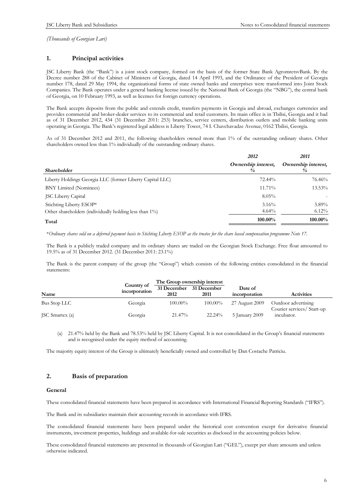### **1. Principal activities**

JSC Liberty Bank (the "Bank") is a joint stock company, formed on the basis of the former State Bank AgromretsvBank. By the Decree number 288 of the Cabinet of Ministers of Georgia, dated 14 April 1993, and the Ordinance of the President of Georgia number 178, dated 29 May 1994, the organisational forms of state owned banks and enterprises were transformed into Joint Stock Companies. The Bank operates under a general banking license issued by the National Bank of Georgia (the "NBG"), the central bank of Georgia, on 10 February 1993, as well as licenses for foreign currency operations.

The Bank accepts deposits from the public and extends credit, transfers payments in Georgia and abroad, exchanges currencies and provides commercial and broker-dealer services to its commercial and retail customers. Its main office is in Tbilisi, Georgia and it had as of 31 December 2012, 434 (31 December 2011: 253) branches, service centers, distribution outlets and mobile banking units operating in Georgia. The Bank's registered legal address is Liberty Tower, 74 I. Chavchavadze Avenue, 0162 Tbilisi, Georgia.

As of 31 December 2012 and 2011, the following shareholders owned more than 1% of the outstanding ordinary shares. Other shareholders owned less than 1% individually of the outstanding ordinary shares.

|                                                           | 2012                                 | 2011                                 |
|-----------------------------------------------------------|--------------------------------------|--------------------------------------|
| <b>Shareholder</b>                                        | Ownership interest,<br>$\frac{0}{0}$ | Ownership interest,<br>$\frac{9}{6}$ |
| Liberty Holdings Georgia LLC (former Liberty Capital LLC) | $72.44\%$                            | 76.46%                               |
| <b>BNY Limited (Nominees)</b>                             | 11.71%                               | 13.53%                               |
| <b>JSC Liberty Capital</b>                                | $8.05\%$                             |                                      |
| Stichting Liberty ESOP*                                   | 3.16%                                | 3.89%                                |
| Other shareholders (individually holding less than 1%)    | $4.64\%$                             | $6.12\%$                             |
| Total                                                     | 100.00%                              | 100.00%                              |

\*Ordinary shares sold on a deferred payment basis to Stichting Liberty ESOP as the trustee for the share based compensation programme Note 17.

The Bank is a publicly traded company and its ordinary shares are traded on the Georgian Stock Exchange. Free float amounted to 19.5% as of 31 December 2012. (31 December 2011: 23.1%)

The Bank is the parent company of the group (the "Group") which consists of the following entities consolidated in the financial statements:

|                        |                             | The Group ownership interest    |            |                          |                                                   |
|------------------------|-----------------------------|---------------------------------|------------|--------------------------|---------------------------------------------------|
| Name                   | Country of<br>incorporation | 31 December 31 December<br>2012 | 2011       | Date of<br>incorporation | <b>Activities</b>                                 |
| Bus Stop LLC           | Georgia                     | $100.00\%$                      | $100.00\%$ | 27 August 2009           | Outdoor advertising<br>Courier services/ Start-up |
| <b>JSC</b> Smartex (a) | Georgia                     | 21.47%                          | 22.24%     | 5 January 2009           | incubator.                                        |

(a) 21.47% held by the Bank and 78.53% held by JSC Liberty Capital. It is not consolidated in the Group's financial statements and is recognised under the equity method of accounting.

The majority equity interest of the Group is ultimately beneficially owned and controlled by Dan Costache Patriciu.

# **2. Basis of preparation**

#### **General**

These consolidated financial statements have been prepared in accordance with International Financial Reporting Standards ("IFRS").

The Bank and its subsidiaries maintain their accounting records in accordance with IFRS.

The consolidated financial statements have been prepared under the historical cost convention except for derivative financial instruments, investment properties, buildings and available-for-sale securities as disclosed in the accounting policies below.

These consolidated financial statements are presented in thousands of Georgian Lari ("GEL"), except per share amounts and unless otherwise indicated.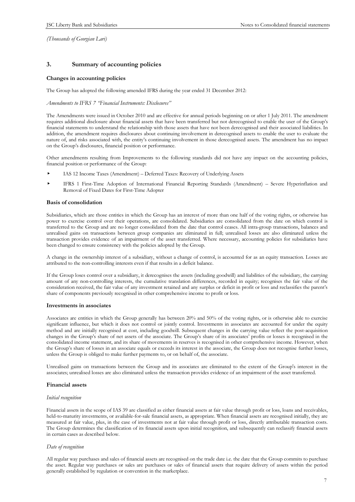### **3. Summary of accounting policies**

#### **Changes in accounting policies**

The Group has adopted the following amended IFRS during the year ended 31 December 2012:

*Amendments to IFRS 7 "Financial Instruments: Disclosures"* 

The Amendments were issued in October 2010 and are effective for annual periods beginning on or after 1 July 2011. The amendment requires additional disclosure about financial assets that have been transferred but not derecognised to enable the user of the Group's financial statements to understand the relationship with those assets that have not been derecognised and their associated liabilities. In addition, the amendment requires disclosures about continuing involvement in derecognised assets to enable the user to evaluate the nature of, and risks associated with, the entity's continuing involvement in those derecognised assets. The amendment has no impact on the Group's disclosures, financial position or performance.

Other amendments resulting from Improvements to the following standards did not have any impact on the accounting policies, financial position or performance of the Group:

- IAS 12 Income Taxes (Amendment) Deferred Taxes: Recovery of Underlying Assets
- IFRS 1 First-Time Adoption of International Financial Reporting Standards (Amendment) Severe Hyperinflation and Removal of Fixed Dates for First-Time Adopter

#### **Basis of consolidation**

Subsidiaries, which are those entities in which the Group has an interest of more than one half of the voting rights, or otherwise has power to exercise control over their operations, are consolidated. Subsidiaries are consolidated from the date on which control is transferred to the Group and are no longer consolidated from the date that control ceases. All intra-group transactions, balances and unrealised gains on transactions between group companies are eliminated in full; unrealised losses are also eliminated unless the transaction provides evidence of an impairment of the asset transferred. Where necessary, accounting policies for subsidiaries have been changed to ensure consistency with the policies adopted by the Group.

A change in the ownership interest of a subsidiary, without a change of control, is accounted for as an equity transaction. Losses are attributed to the non-controlling interests even if that results in a deficit balance.

If the Group loses control over a subsidiary, it derecognises the assets (including goodwill) and liabilities of the subsidiary, the carrying amount of any non-controlling interests, the cumulative translation differences, recorded in equity; recognises the fair value of the consideration received, the fair value of any investment retained and any surplus or deficit in profit or loss and reclassifies the parent's share of components previously recognised in other comprehensive income to profit or loss.

#### **Investments in associates**

Associates are entities in which the Group generally has between 20% and 50% of the voting rights, or is otherwise able to exercise significant influence, but which it does not control or jointly control. Investments in associates are accounted for under the equity method and are initially recognised at cost, including goodwill. Subsequent changes in the carrying value reflect the post-acquisition changes in the Group's share of net assets of the associate. The Group's share of its associates' profits or losses is recognised in the consolidated income statement, and its share of movements in reserves is recognised in other comprehensive income. However, when the Group's share of losses in an associate equals or exceeds its interest in the associate, the Group does not recognise further losses, unless the Group is obliged to make further payments to, or on behalf of, the associate.

Unrealised gains on transactions between the Group and its associates are eliminated to the extent of the Group's interest in the associates; unrealised losses are also eliminated unless the transaction provides evidence of an impairment of the asset transferred.

#### **Financial assets**

#### *Initial recognition*

Financial assets in the scope of IAS 39 are classified as either financial assets at fair value through profit or loss, loans and receivables, held-to-maturity investments, or available-for-sale financial assets, as appropriate. When financial assets are recognised initially, they are measured at fair value, plus, in the case of investments not at fair value through profit or loss, directly attributable transaction costs. The Group determines the classification of its financial assets upon initial recognition, and subsequently can reclassify financial assets in certain cases as described below.

#### *Date of recognition*

All regular way purchases and sales of financial assets are recognised on the trade date i.e. the date that the Group commits to purchase the asset. Regular way purchases or sales are purchases or sales of financial assets that require delivery of assets within the period generally established by regulation or convention in the marketplace.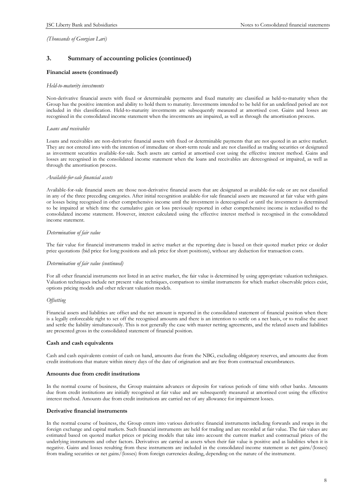# **3. Summary of accounting policies (continued)**

#### **Financial assets (continued)**

#### *Held-to-maturity investments*

Non-derivative financial assets with fixed or determinable payments and fixed maturity are classified as held-to-maturity when the Group has the positive intention and ability to hold them to maturity. Investments intended to be held for an undefined period are not included in this classification. Held-to-maturity investments are subsequently measured at amortised cost. Gains and losses are recognised in the consolidated income statement when the investments are impaired, as well as through the amortisation process.

#### *Loans and receivables*

Loans and receivables are non-derivative financial assets with fixed or determinable payments that are not quoted in an active market. They are not entered into with the intention of immediate or short-term resale and are not classified as trading securities or designated as investment securities available-for-sale. Such assets are carried at amortised cost using the effective interest method. Gains and losses are recognised in the consolidated income statement when the loans and receivables are derecognised or impaired, as well as through the amortisation process.

#### *Available-for-sale financial assets*

Available-for-sale financial assets are those non-derivative financial assets that are designated as available-for-sale or are not classified in any of the three preceding categories. After initial recognition available-for sale financial assets are measured at fair value with gains or losses being recognised in other comprehensive income until the investment is derecognised or until the investment is determined to be impaired at which time the cumulative gain or loss previously reported in other comprehensive income is reclassified to the consolidated income statement. However, interest calculated using the effective interest method is recognised in the consolidated income statement.

#### *Determination of fair value*

The fair value for financial instruments traded in active market at the reporting date is based on their quoted market price or dealer price quotations (bid price for long positions and ask price for short positions), without any deduction for transaction costs.

#### *Determination of fair value (continued)*

For all other financial instruments not listed in an active market, the fair value is determined by using appropriate valuation techniques. Valuation techniques include net present value techniques, comparison to similar instruments for which market observable prices exist, options pricing models and other relevant valuation models.

#### *Offsetting*

Financial assets and liabilities are offset and the net amount is reported in the consolidated statement of financial position when there is a legally enforceable right to set off the recognised amounts and there is an intention to settle on a net basis, or to realise the asset and settle the liability simultaneously. This is not generally the case with master netting agreements, and the related assets and liabilities are presented gross in the consolidated statement of financial position.

### **Cash and cash equivalents**

Cash and cash equivalents consist of cash on hand, amounts due from the NBG, excluding obligatory reserves, and amounts due from credit institutions that mature within ninety days of the date of origination and are free from contractual encumbrances.

#### **Amounts due from credit institutions**

In the normal course of business, the Group maintains advances or deposits for various periods of time with other banks. Amounts due from credit institutions are initially recognised at fair value and are subsequently measured at amortised cost using the effective interest method. Amounts due from credit institutions are carried net of any allowance for impairment losses.

#### **Derivative financial instruments**

In the normal course of business, the Group enters into various derivative financial instruments including forwards and swaps in the foreign exchange and capital markets. Such financial instruments are held for trading and are recorded at fair value. The fair values are estimated based on quoted market prices or pricing models that take into account the current market and contractual prices of the underlying instruments and other factors. Derivatives are carried as assets when their fair value is positive and as liabilities when it is negative. Gains and losses resulting from these instruments are included in the consolidated income statement as net gains/(losses) from trading securities or net gains/(losses) from foreign currencies dealing, depending on the nature of the instrument.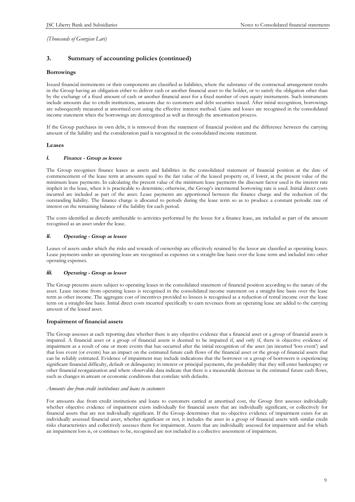# **3. Summary of accounting policies (continued)**

#### **Borrowings**

Issued financial instruments or their components are classified as liabilities, where the substance of the contractual arrangement results in the Group having an obligation either to deliver cash or another financial asset to the holder, or to satisfy the obligation other than by the exchange of a fixed amount of cash or another financial asset for a fixed number of own equity instruments. Such instruments include amounts due to credit institutions, amounts due to customers and debt securities issued. After initial recognition, borrowings are subsequently measured at amortised cost using the effective interest method. Gains and losses are recognised in the consolidated income statement when the borrowings are derecognised as well as through the amortisation process.

If the Group purchases its own debt, it is removed from the statement of financial position and the difference between the carrying amount of the liability and the consideration paid is recognised in the consolidated income statement.

#### **Leases**

#### *i. Finance - Group as lessee*

The Group recognises finance leases as assets and liabilities in the consolidated statement of financial position at the date of commencement of the lease term at amounts equal to the fair value of the leased property or, if lower, at the present value of the minimum lease payments. In calculating the present value of the minimum lease payments the discount factor used is the interest rate implicit in the lease, when it is practicable to determine; otherwise, the Group's incremental borrowing rate is used. Initial direct costs incurred are included as part of the asset. Lease payments are apportioned between the finance charge and the reduction of the outstanding liability. The finance charge is allocated to periods during the lease term so as to produce a constant periodic rate of interest on the remaining balance of the liability for each period.

The costs identified as directly attributable to activities performed by the lessee for a finance lease, are included as part of the amount recognised as an asset under the lease.

#### *ii. Operating - Group as lessee*

Leases of assets under which the risks and rewards of ownership are effectively retained by the lessor are classified as operating leases. Lease payments under an operating lease are recognised as expenses on a straight-line basis over the lease term and included into other operating expenses.

#### *iii. Operating - Group as lessor*

The Group presents assets subject to operating leases in the consolidated statement of financial position according to the nature of the asset. Lease income from operating leases is recognised in the consolidated income statement on a straight-line basis over the lease term as other income. The aggregate cost of incentives provided to lessees is recognised as a reduction of rental income over the lease term on a straight-line basis. Initial direct costs incurred specifically to earn revenues from an operating lease are added to the carrying amount of the leased asset.

### **Impairment of financial assets**

The Group assesses at each reporting date whether there is any objective evidence that a financial asset or a group of financial assets is impaired. A financial asset or a group of financial assets is deemed to be impaired if, and only if, there is objective evidence of impairment as a result of one or more events that has occurred after the initial recognition of the asset (an incurred 'loss event') and that loss event (or events) has an impact on the estimated future cash flows of the financial asset or the group of financial assets that can be reliably estimated. Evidence of impairment may include indications that the borrower or a group of borrowers is experiencing significant financial difficulty, default or delinquency in interest or principal payments, the probability that they will enter bankruptcy or other financial reorganisation and where observable data indicate that there is a measurable decrease in the estimated future cash flows, such as changes in arrears or economic conditions that correlate with defaults.

#### *Amounts due from credit institutions and loans to customers*

For amounts due from credit institutions and loans to customers carried at amortised cost, the Group first assesses individually whether objective evidence of impairment exists individually for financial assets that are individually significant, or collectively for financial assets that are not individually significant. If the Group determines that no objective evidence of impairment exists for an individually assessed financial asset, whether significant or not, it includes the asset in a group of financial assets with similar credit risks characteristics and collectively assesses them for impairment. Assets that are individually assessed for impairment and for which an impairment loss is, or continues to be, recognised are not included in a collective assessment of impairment.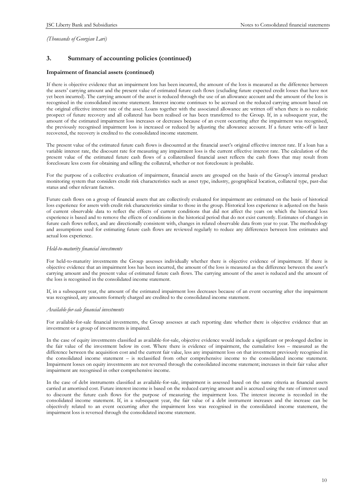# **3. Summary of accounting policies (continued)**

#### **Impairment of financial assets (continued)**

If there is objective evidence that an impairment loss has been incurred, the amount of the loss is measured as the difference between the assets' carrying amount and the present value of estimated future cash flows (excluding future expected credit losses that have not yet been incurred). The carrying amount of the asset is reduced through the use of an allowance account and the amount of the loss is recognised in the consolidated income statement. Interest income continues to be accrued on the reduced carrying amount based on the original effective interest rate of the asset. Loans together with the associated allowance are written off when there is no realistic prospect of future recovery and all collateral has been realised or has been transferred to the Group. If, in a subsequent year, the amount of the estimated impairment loss increases or decreases because of an event occurring after the impairment was recognised, the previously recognised impairment loss is increased or reduced by adjusting the allowance account. If a future write-off is later recovered, the recovery is credited to the consolidated income statement.

The present value of the estimated future cash flows is discounted at the financial asset's original effective interest rate. If a loan has a variable interest rate, the discount rate for measuring any impairment loss is the current effective interest rate. The calculation of the present value of the estimated future cash flows of a collateralised financial asset reflects the cash flows that may result from foreclosure less costs for obtaining and selling the collateral, whether or not foreclosure is probable.

For the purpose of a collective evaluation of impairment, financial assets are grouped on the basis of the Group's internal product monitoring system that considers credit risk characteristics such as asset type, industry, geographical location, collateral type, past-due status and other relevant factors.

Future cash flows on a group of financial assets that are collectively evaluated for impairment are estimated on the basis of historical loss experience for assets with credit risk characteristics similar to those in the group. Historical loss experience is adjusted on the basis of current observable data to reflect the effects of current conditions that did not affect the years on which the historical loss experience is based and to remove the effects of conditions in the historical period that do not exist currently. Estimates of changes in future cash flows reflect, and are directionally consistent with, changes in related observable data from year to year. The methodology and assumptions used for estimating future cash flows are reviewed regularly to reduce any differences between loss estimates and actual loss experience.

#### *Held-to-maturity financial investments*

For held-to-maturity investments the Group assesses individually whether there is objective evidence of impairment. If there is objective evidence that an impairment loss has been incurred, the amount of the loss is measured as the difference between the asset's carrying amount and the present value of estimated future cash flows. The carrying amount of the asset is reduced and the amount of the loss is recognised in the consolidated income statement.

If, in a subsequent year, the amount of the estimated impairment loss decreases because of an event occurring after the impairment was recognised, any amounts formerly charged are credited to the consolidated income statement.

#### *Available-for-sale financial investments*

For available-for-sale financial investments, the Group assesses at each reporting date whether there is objective evidence that an investment or a group of investments is impaired.

In the case of equity investments classified as available-for-sale, objective evidence would include a significant or prolonged decline in the fair value of the investment below its cost. Where there is evidence of impairment, the cumulative loss – measured as the difference between the acquisition cost and the current fair value, less any impairment loss on that investment previously recognised in the consolidated income statement – is reclassified from other comprehensive income to the consolidated income statement. Impairment losses on equity investments are not reversed through the consolidated income statement; increases in their fair value after impairment are recognised in other comprehensive income.

In the case of debt instruments classified as available-for-sale, impairment is assessed based on the same criteria as financial assets carried at amortised cost. Future interest income is based on the reduced carrying amount and is accrued using the rate of interest used to discount the future cash flows for the purpose of measuring the impairment loss. The interest income is recorded in the consolidated income statement. If, in a subsequent year, the fair value of a debt instrument increases and the increase can be objectively related to an event occurring after the impairment loss was recognised in the consolidated income statement, the impairment loss is reversed through the consolidated income statement.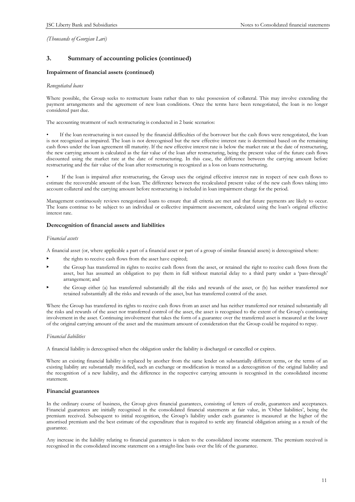# **3. Summary of accounting policies (continued)**

#### **Impairment of financial assets (continued)**

#### *Renegotiated loans*

Where possible, the Group seeks to restructure loans rather than to take possession of collateral. This may involve extending the payment arrangements and the agreement of new loan conditions. Once the terms have been renegotiated, the loan is no longer considered past due.

The accounting treatment of such restructuring is conducted in 2 basic scenarios:

• If the loan restructuring is not caused by the financial difficulties of the borrower but the cash flows were renegotiated, the loan is not recognized as impaired. The loan is not derecognised but the new effective interest rate is determined based on the remaining cash flows under the loan agreement till maturity. If the new effective interest rate is below the market rate at the date of restructuring, the new carrying amount is calculated as the fair value of the loan after restructuring, being the present value of the future cash flows discounted using the market rate at the date of restructuring. In this case, the difference between the carrying amount before restructuring and the fair value of the loan after restructuring is recognized as a loss on loans restructuring.

• If the loan is impaired after restructuring, the Group uses the original effective interest rate in respect of new cash flows to estimate the recoverable amount of the loan. The difference between the recalculated present value of the new cash flows taking into account collateral and the carrying amount before restructuring is included in loan impairment charge for the period.

Management continuously reviews renegotiated loans to ensure that all criteria are met and that future payments are likely to occur. The loans continue to be subject to an individual or collective impairment assessment, calculated using the loan's original effective interest rate.

#### **Derecognition of financial assets and liabilities**

#### *Financial assets*

A financial asset (or, where applicable a part of a financial asset or part of a group of similar financial assets) is derecognised where:

- the rights to receive cash flows from the asset have expired;
- the Group has transferred its rights to receive cash flows from the asset, or retained the right to receive cash flows from the asset, but has assumed an obligation to pay them in full without material delay to a third party under a 'pass-through' arrangement; and
- the Group either (a) has transferred substantially all the risks and rewards of the asset, or (b) has neither transferred nor retained substantially all the risks and rewards of the asset, but has transferred control of the asset.

Where the Group has transferred its rights to receive cash flows from an asset and has neither transferred nor retained substantially all the risks and rewards of the asset nor transferred control of the asset, the asset is recognised to the extent of the Group's continuing involvement in the asset. Continuing involvement that takes the form of a guarantee over the transferred asset is measured at the lower of the original carrying amount of the asset and the maximum amount of consideration that the Group could be required to repay.

#### *Financial liabilities*

A financial liability is derecognised when the obligation under the liability is discharged or cancelled or expires.

Where an existing financial liability is replaced by another from the same lender on substantially different terms, or the terms of an existing liability are substantially modified, such an exchange or modification is treated as a derecognition of the original liability and the recognition of a new liability, and the difference in the respective carrying amounts is recognised in the consolidated income statement.

#### **Financial guarantees**

In the ordinary course of business, the Group gives financial guarantees, consisting of letters of credit, guarantees and acceptances. Financial guarantees are initially recognised in the consolidated financial statements at fair value, in 'Other liabilities', being the premium received. Subsequent to initial recognition, the Group's liability under each guarantee is measured at the higher of the amortised premium and the best estimate of the expenditure that is required to settle any financial obligation arising as a result of the guarantee.

Any increase in the liability relating to financial guarantees is taken to the consolidated income statement. The premium received is recognised in the consolidated income statement on a straight-line basis over the life of the guarantee.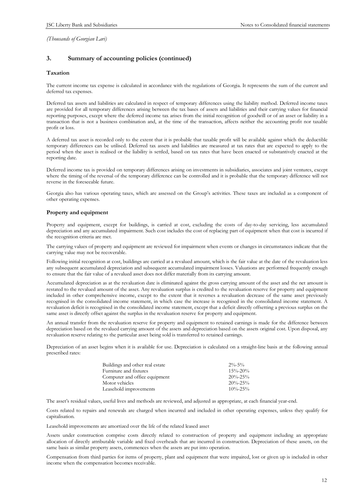# **3. Summary of accounting policies (continued)**

#### **Taxation**

The current income tax expense is calculated in accordance with the regulations of Georgia. It represents the sum of the current and deferred tax expenses.

Deferred tax assets and liabilities are calculated in respect of temporary differences using the liability method. Deferred income taxes are provided for all temporary differences arising between the tax bases of assets and liabilities and their carrying values for financial reporting purposes, except where the deferred income tax arises from the initial recognition of goodwill or of an asset or liability in a transaction that is not a business combination and, at the time of the transaction, affects neither the accounting profit nor taxable profit or loss.

A deferred tax asset is recorded only to the extent that it is probable that taxable profit will be available against which the deductible temporary differences can be utilised. Deferred tax assets and liabilities are measured at tax rates that are expected to apply to the period when the asset is realised or the liability is settled, based on tax rates that have been enacted or substantively enacted at the reporting date.

Deferred income tax is provided on temporary differences arising on investments in subsidiaries, associates and joint ventures, except where the timing of the reversal of the temporary difference can be controlled and it is probable that the temporary difference will not reverse in the foreseeable future.

Georgia also has various operating taxes, which are assessed on the Group's activities. These taxes are included as a component of other operating expenses.

#### **Property and equipment**

Property and equipment, except for buildings, is carried at cost, excluding the costs of day-to-day servicing, less accumulated depreciation and any accumulated impairment. Such cost includes the cost of replacing part of equipment when that cost is incurred if the recognition criteria are met.

The carrying values of property and equipment are reviewed for impairment when events or changes in circumstances indicate that the carrying value may not be recoverable.

Following initial recognition at cost, buildings are carried at a revalued amount, which is the fair value at the date of the revaluation less any subsequent accumulated depreciation and subsequent accumulated impairment losses. Valuations are performed frequently enough to ensure that the fair value of a revalued asset does not differ materially from its carrying amount.

Accumulated depreciation as at the revaluation date is eliminated against the gross carrying amount of the asset and the net amount is restated to the revalued amount of the asset. Any revaluation surplus is credited to the revaluation reserve for property and equipment included in other comprehensive income, except to the extent that it reverses a revaluation decrease of the same asset previously recognised in the consolidated income statement, in which case the increase is recognised in the consolidated income statement. A revaluation deficit is recognised in the consolidated income statement, except that a deficit directly offsetting a previous surplus on the same asset is directly offset against the surplus in the revaluation reserve for property and equipment.

An annual transfer from the revaluation reserve for property and equipment to retained earnings is made for the difference between depreciation based on the revalued carrying amount of the assets and depreciation based on the assets original cost. Upon disposal, any revaluation reserve relating to the particular asset being sold is transferred to retained earnings.

Depreciation of an asset begins when it is available for use. Depreciation is calculated on a straight-line basis at the following annual prescribed rates:

| Buildings and other real estate | $2\% - 5\%$   |
|---------------------------------|---------------|
| Furniture and fixtures          | $15\% - 20\%$ |
| Computer and office equipment   | $20\% - 25\%$ |
| Motor vehicles                  | $20\% - 25\%$ |
| Leasehold improvements          | $10\% - 25\%$ |

The asset's residual values, useful lives and methods are reviewed, and adjusted as appropriate, at each financial year-end.

Costs related to repairs and renewals are charged when incurred and included in other operating expenses, unless they qualify for capitalisation.

Leasehold improvements are amortized over the life of the related leased asset

Assets under construction comprise costs directly related to construction of property and equipment including an appropriate allocation of directly attributable variable and fixed overheads that are incurred in construction. Depreciation of these assets, on the same basis as similar property assets, commences when the assets are put into operation.

Compensation from third parties for items of property, plant and equipment that were impaired, lost or given up is included in other income when the compensation becomes receivable.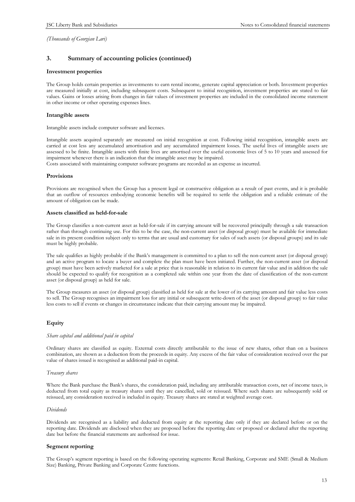# **3. Summary of accounting policies (continued)**

#### **Investment properties**

The Group holds certain properties as investments to earn rental income, generate capital appreciation or both. Investment properties are measured initially at cost, including subsequent costs. Subsequent to initial recognition, investment properties are stated to fair values. Gains or losses arising from changes in fair values of investment properties are included in the consolidated income statement in other income or other operating expenses lines.

#### **Intangible assets**

Intangible assets include computer software and licenses.

Intangible assets acquired separately are measured on initial recognition at cost. Following initial recognition, intangible assets are carried at cost less any accumulated amortisation and any accumulated impairment losses. The useful lives of intangible assets are assessed to be finite. Intangible assets with finite lives are amortised over the useful economic lives of 5 to 10 years and assessed for impairment whenever there is an indication that the intangible asset may be impaired.

Costs associated with maintaining computer software programs are recorded as an expense as incurred.

#### **Provisions**

Provisions are recognised when the Group has a present legal or constructive obligation as a result of past events, and it is probable that an outflow of resources embodying economic benefits will be required to settle the obligation and a reliable estimate of the amount of obligation can be made.

#### **Assets classified as held-for-sale**

The Group classifies a non-current asset as held-for-sale if its carrying amount will be recovered principally through a sale transaction rather than through continuing use. For this to be the case, the non-current asset (or disposal group) must be available for immediate sale in its present condition subject only to terms that are usual and customary for sales of such assets (or disposal groups) and its sale must be highly probable.

The sale qualifies as highly probable if the Bank's management is committed to a plan to sell the non-current asset (or disposal group) and an active program to locate a buyer and complete the plan must have been initiated. Further, the non-current asset (or disposal group) must have been actively marketed for a sale at price that is reasonable in relation to its current fair value and in addition the sale should be expected to qualify for recognition as a completed sale within one year from the date of classification of the non-current asset (or disposal group) as held for sale.

The Group measures an asset (or disposal group) classified as held for sale at the lower of its carrying amount and fair value less costs to sell. The Group recognises an impairment loss for any initial or subsequent write-down of the asset (or disposal group) to fair value less costs to sell if events or changes in circumstance indicate that their carrying amount may be impaired.

#### **Equity**

#### *Share capital and additional paid in capital*

Ordinary shares are classified as equity. External costs directly attributable to the issue of new shares, other than on a business combination, are shown as a deduction from the proceeds in equity. Any excess of the fair value of consideration received over the par value of shares issued is recognised as additional paid-in capital.

#### *Treasury shares*

Where the Bank purchase the Bank's shares, the consideration paid, including any attributable transaction costs, net of income taxes, is deducted from total equity as treasury shares until they are cancelled, sold or reissued. Where such shares are subsequently sold or reissued, any consideration received is included in equity. Treasury shares are stated at weighted average cost.

#### *Dividends*

Dividends are recognised as a liability and deducted from equity at the reporting date only if they are declared before or on the reporting date. Dividends are disclosed when they are proposed before the reporting date or proposed or declared after the reporting date but before the financial statements are authorised for issue.

#### **Segment reporting**

The Group's segment reporting is based on the following operating segments: Retail Banking, Corporate and SME (Small & Medium Size) Banking, Private Banking and Corporate Centre functions.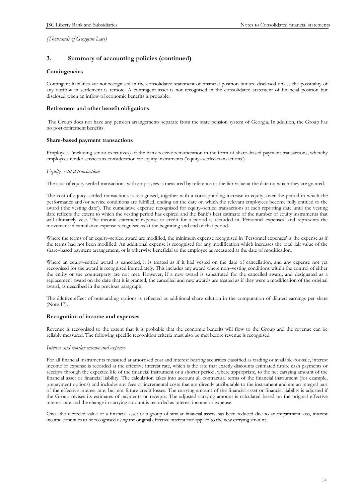# **3. Summary of accounting policies (continued)**

#### **Contingencies**

Contingent liabilities are not recognised in the consolidated statement of financial position but are disclosed unless the possibility of any outflow in settlement is remote. A contingent asset is not recognised in the consolidated statement of financial position but disclosed when an inflow of economic benefits is probable.

#### **Retirement and other benefit obligations**

The Group does not have any pension arrangements separate from the state pension system of Georgia. In addition, the Group has no post-retirement benefits.

#### **Share-based payment transactions**

Employees (including senior executives) of the bank receive remuneration in the form of share–based payment transactions, whereby employees render services as consideration for equity instruments ('equity–settled transactions').

#### *Equity–settled transactions*

The cost of equity settled transactions with employees is measured by reference to the fair value at the date on which they are granted.

The cost of equity–settled transactions is recognised, together with a corresponding increase in equity, over the period in which the performance and/or service conditions are fulfilled, ending on the date on which the relevant employees become fully entitled to the award ('the vesting date'). The cumulative expense recognised for equity–settled transactions at each reporting date until the vesting date reflects the extent to which the vesting period has expired and the Bank's best estimate of the number of equity instruments that will ultimately vest. The income statement expense or credit for a period is recorded in 'Personnel expenses' and represents the movement in cumulative expense recognised as at the beginning and end of that period.

Where the terms of an equity–settled award are modified, the minimum expense recognised in 'Personnel expenses' is the expense as if the terms had not been modified. An additional expense is recognised for any modification which increases the total fair value of the share–based payment arrangement, or is otherwise beneficial to the employee as measured at the date of modification.

Where an equity–settled award is cancelled, it is treated as if it had vested on the date of cancellation, and any expense not yet recognised for the award is recognised immediately. This includes any award where non–vesting conditions within the control of either the entity or the counterparty are not met. However, if a new award is substituted for the cancelled award, and designated as a replacement award on the date that it is granted, the cancelled and new awards are treated as if they were a modification of the original award, as described in the previous paragraph.

The dilutive effect of outstanding options is reflected as additional share dilution in the computation of diluted earnings per share (Note 17).

#### **Recognition of income and expenses**

Revenue is recognised to the extent that it is probable that the economic benefits will flow to the Group and the revenue can be reliably measured. The following specific recognition criteria must also be met before revenue is recognised:

#### *Interest and similar income and expense*

For all financial instruments measured at amortised cost and interest bearing securities classified as trading or available-for-sale, interest income or expense is recorded at the effective interest rate, which is the rate that exactly discounts estimated future cash payments or receipts through the expected life of the financial instrument or a shorter period, where appropriate, to the net carrying amount of the financial asset or financial liability. The calculation takes into account all contractual terms of the financial instrument (for example, prepayment options) and includes any fees or incremental costs that are directly attributable to the instrument and are an integral part of the effective interest rate, but not future credit losses. The carrying amount of the financial asset or financial liability is adjusted if the Group revises its estimates of payments or receipts. The adjusted carrying amount is calculated based on the original effective interest rate and the change in carrying amount is recorded as interest income or expense.

Once the recorded value of a financial asset or a group of similar financial assets has been reduced due to an impairment loss, interest income continues to be recognised using the original effective interest rate applied to the new carrying amount.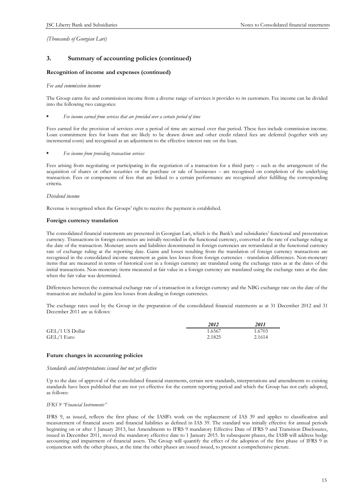# **3. Summary of accounting policies (continued)**

#### **Recognition of income and expenses (continued)**

#### *Fee and commission income*

The Group earns fee and commission income from a diverse range of services it provides to its customers. Fee income can be divided into the following two categories:

#### • *Fee income earned from services that are provided over a certain period of time*

Fees earned for the provision of services over a period of time are accrued over that period. These fees include commission income. Loan commitment fees for loans that are likely to be drawn down and other credit related fees are deferred (together with any incremental costs) and recognised as an adjustment to the effective interest rate on the loan.

#### • *Fee income from providing transaction services*

Fees arising from negotiating or participating in the negotiation of a transaction for a third party – such as the arrangement of the acquisition of shares or other securities or the purchase or sale of businesses – are recognised on completion of the underlying transaction. Fees or components of fees that are linked to a certain performance are recognised after fulfilling the corresponding criteria.

#### *Dividend income*

Revenue is recognised when the Groups' right to receive the payment is established.

#### **Foreign currency translation**

The consolidated financial statements are presented in Georgian Lari, which is the Bank's and subsidiaries' functional and presentation currency. Transactions in foreign currencies are initially recorded in the functional currency, converted at the rate of exchange ruling at the date of the transaction. Monetary assets and liabilities denominated in foreign currencies are retranslated at the functional currency rate of exchange ruling at the reporting date. Gains and losses resulting from the translation of foreign currency transactions are recognised in the consolidated income statement as gains less losses from foreign currencies - translation differences. Non-monetary items that are measured in terms of historical cost in a foreign currency are translated using the exchange rates as at the dates of the initial transactions. Non-monetary items measured at fair value in a foreign currency are translated using the exchange rates at the date when the fair value was determined.

Differences between the contractual exchange rate of a transaction in a foreign currency and the NBG exchange rate on the date of the transaction are included in gains less losses from dealing in foreign currencies.

The exchange rates used by the Group in the preparation of the consolidated financial statements as at 31 December 2012 and 31 December 2011 are as follows:

|                 | 2012   | 2011   |
|-----------------|--------|--------|
| GEL/1 US Dollar | 1.6567 | 1.6703 |
| GEL/1 Euro      | 2.1825 | 2.1614 |

#### **Future changes in accounting policies**

#### *Standards and interpretations issued but not yet effective*

Up to the date of approval of the consolidated financial statements, certain new standards, interpretations and amendments to existing standards have been published that are not yet effective for the current reporting period and which the Group has not early adopted, as follows:

#### *IFRS 9 "Financial Instruments"*

IFRS 9, as issued, reflects the first phase of the IASB's work on the replacement of IAS 39 and applies to classification and measurement of financial assets and financial liabilities as defined in IAS 39. The standard was initially effective for annual periods beginning on or after 1 January 2013, but Amendments to IFRS 9 mandatory Effective Date of IFRS 9 and Transition Disclosures, issued in December 2011, moved the mandatory effective date to 1 January 2015. In subsequent phases, the IASB will address hedge accounting and impairment of financial assets. The Group will quantify the effect of the adoption of the first phase of IFRS 9 in conjunction with the other phases, at the time the other phases are issued issued, to present a comprehensive picture.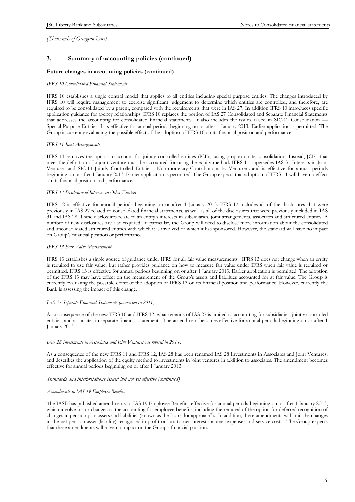# **3. Summary of accounting policies (continued)**

#### **Future changes in accounting policies (continued)**

#### *IFRS 10 Consolidated Financial Statements*

IFRS 10 establishes a single control model that applies to all entities including special purpose entities. The changes introduced by IFRS 10 will require management to exercise significant judgement to determine which entities are controlled, and therefore, are required to be consolidated by a parent, compared with the requirements that were in IAS 27. In addition IFRS 10 introduces specific application guidance for agency relationships. IFRS 10 replaces the portion of IAS 27 Consolidated and Separate Financial Statements that addresses the accounting for consolidated financial statements. It also includes the issues raised in SIC-12 Consolidation -Special Purpose Entities. It is effective for annual periods beginning on or after 1 January 2013. Earlier application is permitted. The Group is currently evaluating the possible effect of the adoption of IFRS 10 on its financial position and performance.

#### *IFRS 11 Joint Arrangements*

IFRS 11 removes the option to account for jointly controlled entities (JCEs) using proportionate consolidation. Instead, JCEs that meet the definition of a joint venture must be accounted for using the equity method. IFRS 11 supersedes IAS 31 Interests in Joint Ventures and SIC-13 Jointly Controlled Entities—Non-monetary Contributions by Venturers and is effective for annual periods beginning on or after 1 January 2013. Earlier application is permitted. The Group expects that adoption of IFRS 11 will have no effect on its financial position and performance.

#### *IFRS 12 Disclosure of Interests in Other Entities*

IFRS 12 is effective for annual periods beginning on or after 1 January 2013. IFRS 12 includes all of the disclosures that were previously in IAS 27 related to consolidated financial statements, as well as all of the disclosures that were previously included in IAS 31 and IAS 28. These disclosures relate to an entity's interests in subsidiaries, joint arrangements, associates and structured entities. A number of new disclosures are also required. In particular, the Group will need to disclose more information about the consolidated and unconsolidated structured entities with which it is involved or which it has sponsored. However, the standard will have no impact on Group's financial position or performance.

#### *IFRS 13 Fair Value Measurement*

IFRS 13 establishes a single source of guidance under IFRS for all fair value measurements. IFRS 13 does not change when an entity is required to use fair value, but rather provides guidance on how to measure fair value under IFRS when fair value is required or permitted. IFRS 13 is effective for annual periods beginning on or after 1 January 2013. Earlier application is permitted. The adoption of the IFRS 13 may have effect on the measurement of the Group's assets and liabilities accounted for at fair value. The Group is currently evaluating the possible effect of the adoption of IFRS 13 on its financial position and performance. However, currently the Bank is assessing the impact of this change.

#### *IAS 27 Separate Financial Statements (as revised in 2011)*

As a consequence of the new IFRS 10 and IFRS 12, what remains of IAS 27 is limited to accounting for subsidiaries, jointly controlled entities, and associates in separate financial statements. The amendment becomes effective for annual periods beginning on or after 1 January 2013.

#### *IAS 28 Investments in Associates and Joint Ventures (as revised in 2011)*

As a consequence of the new IFRS 11 and IFRS 12, IAS 28 has been renamed IAS 28 Investments in Associates and Joint Ventures, and describes the application of the equity method to investments in joint ventures in addition to associates. The amendment becomes effective for annual periods beginning on or after 1 January 2013.

#### *Standards and interpretations issued but not yet effective (continued)*

#### *Amendments to IAS 19 Employee Benefits*

The IASB has published amendments to IAS 19 Employee Benefits, effective for annual periods beginning on or after 1 January 2013, which involve major changes to the accounting for employee benefits, including the removal of the option for deferred recognition of changes in pension plan assets and liabilities (known as the "corridor approach"). In addition, these amendments will limit the changes in the net pension asset (liability) recognised in profit or loss to net interest income (expense) and service costs. The Group expects that these amendments will have no impact on the Group's financial position.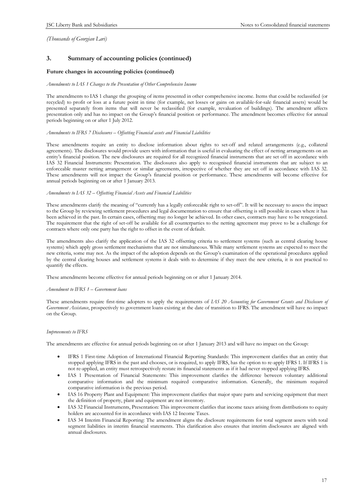# **3. Summary of accounting policies (continued)**

#### **Future changes in accounting policies (continued)**

#### *Amendments to IAS 1 Changes to the Presentation of Other Comprehensive Income*

The amendments to IAS 1 change the grouping of items presented in other comprehensive income. Items that could be reclassified (or recycled) to profit or loss at a future point in time (for example, net losses or gains on available-for-sale financial assets) would be presented separately from items that will never be reclassified (for example, revaluation of buildings). The amendment affects presentation only and has no impact on the Group's financial position or performance. The amendment becomes effective for annual periods beginning on or after 1 July 2012.

#### *Amendments to IFRS 7 Disclosures – Offsetting Financial assets and Financial Liabilities*

These amendments require an entity to disclose information about rights to set-off and related arrangements (e.g., collateral agreements). The disclosures would provide users with information that is useful in evaluating the effect of netting arrangements on an entity's financial position. The new disclosures are required for all recognized financial instruments that are set off in accordance with IAS 32 Financial Instruments: Presentation. The disclosures also apply to recognised financial instruments that are subject to an enforceable master netting arrangement or similar agreements, irrespective of whether they are set off in accordance with IAS 32. These amendments will not impact the Group's financial position or performance. These amendments will become effective for annual periods beginning on or after 1 January 2013.

#### *Amendments to IAS 32 – Offsetting Financial Assets and Financial Liabilities*

These amendments clarify the meaning of "currently has a legally enforceable right to set-off". It will be necessary to assess the impact to the Group by reviewing settlement procedures and legal documentation to ensure that offsetting is still possible in cases where it has been achieved in the past. In certain cases, offsetting may no longer be achieved. In other cases, contracts may have to be renegotiated. The requirement that the right of set-off be available for all counterparties to the netting agreement may prove to be a challenge for contracts where only one party has the right to offset in the event of default.

The amendments also clarify the application of the IAS 32 offsetting criteria to settlement systems (such as central clearing house systems) which apply gross settlement mechanisms that are not simultaneous. While many settlement systems are expected to meet the new criteria, some may not. As the impact of the adoption depends on the Group's examination of the operational procedures applied by the central clearing houses and settlement systems it deals with to determine if they meet the new criteria, it is not practical to quantify the effects.

These amendments become effective for annual periods beginning on or after 1 January 2014.

#### *Amendment to IFRS 1 – Government loans*

These amendments require first-time adopters to apply the requirements of *IAS 20 Accounting for Government Grants and Disclosure of Government Assistance*, prospectively to government loans existing at the date of transition to IFRS. The amendment will have no impact on the Group.

#### *Improvements to IFRS*

The amendments are effective for annual periods beginning on or after 1 January 2013 and will have no impact on the Group:

- IFRS 1 First-time Adoption of International Financial Reporting Standards: This improvement clarifies that an entity that stopped applying IFRS in the past and chooses, or is required, to apply IFRS, has the option to re-apply IFRS 1. If IFRS 1 is not re-applied, an entity must retrospectively restate its financial statements as if it had never stopped applying IFRS.
- IAS 1 Presentation of Financial Statements: This improvement clarifies the difference between voluntary additional comparative information and the minimum required comparative information. Generally, the minimum required comparative information is the previous period.
- IAS 16 Property Plant and Equipment: This improvement clarifies that major spare parts and servicing equipment that meet the definition of property, plant and equipment are not inventory.
- IAS 32 Financial Instruments, Presentation: This improvement clarifies that income taxes arising from distributions to equity holders are accounted for in accordance with IAS 12 Income Taxes.
- · IAS 34 Interim Financial Reporting: The amendment aligns the disclosure requirements for total segment assets with total segment liabilities in interim financial statements. This clarification also ensures that interim disclosures are aligned with annual disclosures.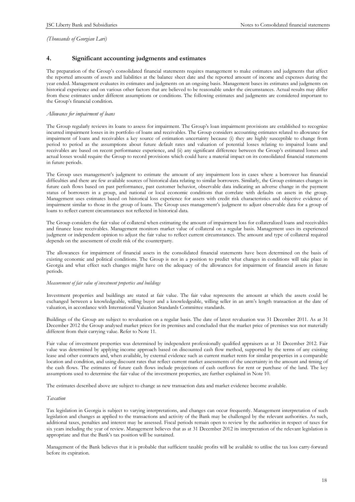#### **4. Significant accounting judgments and estimates**

The preparation of the Group's consolidated financial statements requires management to make estimates and judgments that affect the reported amounts of assets and liabilities at the balance sheet date and the reported amount of income and expenses during the year ended. Management evaluates its estimates and judgments on an ongoing basis. Management bases its estimates and judgments on historical experience and on various other factors that are believed to be reasonable under the circumstances. Actual results may differ from these estimates under different assumptions or conditions. The following estimates and judgments are considered important to the Group's financial condition.

#### *Allowance for impairment of loans*

The Group regularly reviews its loans to assess for impairment. The Group's loan impairment provisions are established to recognize incurred impairment losses in its portfolio of loans and receivables. The Group considers accounting estimates related to allowance for impairment of loans and receivables a key source of estimation uncertainty because (i) they are highly susceptible to change from period to period as the assumptions about future default rates and valuation of potential losses relating to impaired loans and receivables are based on recent performance experience, and (ii) any significant difference between the Group's estimated losses and actual losses would require the Group to record provisions which could have a material impact on its consolidated financial statements in future periods.

The Group uses management's judgment to estimate the amount of any impairment loss in cases where a borrower has financial difficulties and there are few available sources of historical data relating to similar borrowers. Similarly, the Group estimates changes in future cash flows based on past performance, past customer behavior, observable data indicating an adverse change in the payment status of borrowers in a group, and national or local economic conditions that correlate with defaults on assets in the group. Management uses estimates based on historical loss experience for assets with credit risk characteristics and objective evidence of impairment similar to those in the group of loans. The Group uses management's judgment to adjust observable data for a group of loans to reflect current circumstances not reflected in historical data.

The Group considers the fair value of collateral when estimating the amount of impairment loss for collateralized loans and receivables and finance lease receivables. Management monitors market value of collateral on a regular basis. Management uses its experienced judgment or independent opinion to adjust the fair value to reflect current circumstances. The amount and type of collateral required depends on the assessment of credit risk of the counterparty.

The allowances for impairment of financial assets in the consolidated financial statements have been determined on the basis of existing economic and political conditions. The Group is not in a position to predict what changes in conditions will take place in Georgia and what effect such changes might have on the adequacy of the allowances for impairment of financial assets in future periods.

#### *Measurement of fair value of investment properties and buildings*

Investment properties and buildings are stated at fair value. The fair value represents the amount at which the assets could be exchanged between a knowledgeable, willing buyer and a knowledgeable, willing seller in an arm's length transaction at the date of valuation, in accordance with International Valuation Standards Committee standards.

Buildings of the Group are subject to revaluation on a regular basis. The date of latest revaluation was 31 December 2011. As at 31 December 2012 the Group analysed market prices for its premises and concluded that the market price of premises was not materially different from their carrying value. Refer to Note 11.

Fair value of investment properties was determined by independent professionally qualified appraisers as at 31 December 2012. Fair value was determined by applying income approach based on discounted cash flow method, supported by the terms of any existing lease and other contracts and, when available, by external evidence such as current market rents for similar properties in a comparable location and condition, and using discount rates that reflect current market assessments of the uncertainty in the amount and timing of the cash flows. The estimates of future cash flows include projections of cash outflows for rent or purchase of the land. The key assumptions used to determine the fair value of the investment properties, are further explained in Note 10.

The estimates described above are subject to change as new transaction data and market evidence become available.

#### *Taxation*

Tax legislation in Georgia is subject to varying interpretations, and changes can occur frequently. Management interpretation of such legislation and changes as applied to the transactions and activity of the Bank may be challenged by the relevant authorities. As such, additional taxes, penalties and interest may be assessed. Fiscal periods remain open to review by the authorities in respect of taxes for six years including the year of review. Management believes that as at 31 December 2012 its interpretation of the relevant legislation is appropriate and that the Bank's tax position will be sustained.

Management of the Bank believes that it is probable that sufficient taxable profits will be available to utilise the tax loss carry-forward before its expiration.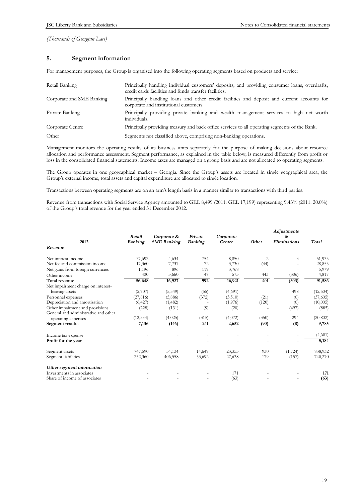# **5. Segment information**

For management purposes, the Group is organised into the following operating segments based on products and service:

| Retail Banking            | Principally handling individual customers' deposits, and providing consumer loans, overdrafts,<br>credit cards facilities and funds transfer facilities. |
|---------------------------|----------------------------------------------------------------------------------------------------------------------------------------------------------|
| Corporate and SME Banking | Principally handling loans and other credit facilities and deposit and current accounts for<br>corporate and institutional customers.                    |
| Private Banking           | Principally providing private banking and wealth management services to high net worth<br>individuals.                                                   |
| Corporate Centre          | Principally providing treasury and back office services to all operating segments of the Bank.                                                           |
| Other                     | Segments not classified above, comprising non-banking operations.                                                                                        |

Management monitors the operating results of its business units separately for the purpose of making decisions about resource allocation and performance assessment. Segment performance, as explained in the table below, is measured differently from profit or loss in the consolidated financial statements. Income taxes are managed on a group basis and are not allocated to operating segments.

The Group operates in one geographical market – Georgia. Since the Group's assets are located in single geographical area, the Group's external income, total assets and capital expenditure are allocated to single location.

Transactions between operating segments are on an arm's length basis in a manner similar to transactions with third parties.

Revenue from transactions with Social Service Agency amounted to GEL 8,499 (2011: GEL 17,199) representing 9.43% (2011: 20.0%) of the Group's total revenue for the year ended 31 December 2012.

| 2012                                 | Retail<br><b>Banking</b> | Corporate &<br><b>SME</b> Banking | Private<br><b>Banking</b> | Corporate<br>Centre | Other | <b>Adjustments</b><br>&<br><b>Eliminations</b> | Total     |
|--------------------------------------|--------------------------|-----------------------------------|---------------------------|---------------------|-------|------------------------------------------------|-----------|
| Revenue                              |                          |                                   |                           |                     |       |                                                |           |
| Net interest income                  | 37,692                   | 4,634                             | 754                       | 8,850               | 2     | 3                                              | 51,935    |
| Net fee and commission income        | 17,360                   | 7,737                             | 72                        | 3,730               | (44)  |                                                | 28,855    |
| Net gains from foreign currencies    | 1,196                    | 896                               | 119                       | 3,768               |       |                                                | 5,979     |
| Other income                         | 400                      | 3,660                             | 47                        | 573                 | 443   | (306)                                          | 4,817     |
| Total revenue                        | 56,648                   | 16,927                            | 992                       | 16,921              | 401   | (303)                                          | 91,586    |
| Net impairment charge on interest-   |                          |                                   |                           |                     |       |                                                |           |
| bearing assets                       | (2,707)                  | (5, 549)                          | (55)                      | (4,691)             |       | 498                                            | (12,504)  |
| Personnel expenses                   | (27, 816)                | (5,886)                           | (372)                     | (3,510)             | (21)  | (0)                                            | (37,605)  |
| Depreciation and amortisation        | (6,427)                  | (1, 482)                          |                           | (1,976)             | (120) | (0)                                            | (10,005)  |
| Other impairment and provisions      | (228)                    | (131)                             | (9)                       | (20)                |       | (497)                                          | (885)     |
| General and administrative and other |                          |                                   |                           |                     |       |                                                |           |
| operating expenses                   | (12, 334)                | (4,025)                           | (315)                     | (4,072)             | (350) | 294                                            | (20, 802) |
| Segment results                      | 7,136                    | (146)                             | 241                       | 2,652               | (90)  | $\overline{(8)}$                               | 9,785     |
| Income tax expense                   |                          |                                   |                           |                     |       |                                                | (4,601)   |
| Profit for the year                  |                          |                                   |                           |                     |       |                                                | 5,184     |
| Segment assets                       | 747,590                  | 54,134                            | 14,649                    | 23,353              | 930   | (1, 724)                                       | 838,932   |
| Segment liabilities                  | 252,360                  | 406,558                           | 53,692                    | 27,638              | 179   | (157)                                          | 740,270   |
| Other segment information            |                          |                                   |                           |                     |       |                                                |           |
| Investments in associates            |                          |                                   |                           | 171                 |       |                                                | 171       |
| Share of income of associates        |                          |                                   |                           | (63)                |       |                                                | (63)      |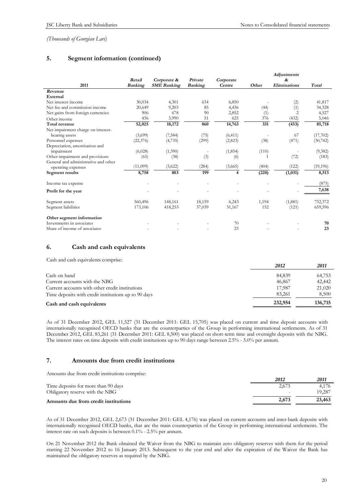# **5. Segment information (continued)**

|                                                            |                |                    |                |                |       | <b>Adjustments</b>  |           |
|------------------------------------------------------------|----------------|--------------------|----------------|----------------|-------|---------------------|-----------|
|                                                            | Retail         | Corporate &        | Private        | Corporate      |       | &                   |           |
| 2011                                                       | <b>Banking</b> | <b>SME</b> Banking | <b>Banking</b> | Centre         | Other | <b>Eliminations</b> | Total     |
| Revenue                                                    |                |                    |                |                |       |                     |           |
| External                                                   |                |                    |                |                |       |                     |           |
| Net interest income                                        | 30,034         | 4,301              | 634            | 6,850          |       | (2)                 | 41,817    |
| Net fee and commission income                              | 20,649         | 9,203              | 85             | 4,436          | (44)  | (1)                 | 34,328    |
| Net gains from foreign currencies                          | 906            | 678                | 90             | 2,852          | (1)   | $\overline{c}$      | 4,527     |
| Other income                                               | 436            | 3,990              | 51             | 625            | 376   | (432)               | 5,046     |
| Total revenue                                              | 52,025         | 18,172             | 860            | 14,763         | 331   | (433)               | 85,718    |
| Net impairment charge on interest-                         |                |                    |                |                |       |                     |           |
| bearing assets                                             | (3,699)        | (7, 584)           | (75)           | (6, 411)       |       | 67                  | (17,702)  |
| Personnel expenses                                         | (22, 376)      | (4,735)            | (299)          | (2,823)        | (38)  | (471)               | (30, 742) |
| Depreciation, amortisation and                             |                |                    |                |                |       |                     |           |
| impairment                                                 | (6,028)        | (1,390)            |                | (1, 854)       | (110) |                     | (9,382)   |
| Other impairment and provisions                            | (65)           | (38)               | (3)            | (6)            |       | (72)                | (183)     |
| General and administrative and other                       |                |                    |                |                |       |                     |           |
| operating expenses                                         | (11,099)       | (3,622)            | (284)          | (3,665)        | (404) | (122)               | (19, 196) |
| Segment results                                            | 8,758          | 803                | 199            | $\overline{4}$ | (220) | (1,031)             | 8,513     |
| Income tax expense                                         |                |                    |                |                |       |                     | (875)     |
| Profit for the year                                        |                |                    |                |                |       |                     | 7,638     |
| Segment assets                                             | 560,496        | 148,161            | 18,159         | 6,243          | 1,194 | (1,881)             | 732,372   |
| Segment liabilities                                        | 173,106        | 418,253            | 37,039         | 31,167         | 152   | (121)               | 659,596   |
| Other segment information                                  |                |                    |                |                |       |                     |           |
| Investments in associates<br>Share of income of associates |                |                    |                | 70<br>23       |       |                     | 70<br>23  |

### **6. Cash and cash equivalents**

| Cash and cash equivalents comprise:                  |         |         |
|------------------------------------------------------|---------|---------|
|                                                      | 2012    | 2011    |
| Cash on hand                                         | 84,839  | 64,753  |
| Current accounts with the NBG                        | 46,867  | 42,442  |
| Current accounts with other credit institutions      | 17.987  | 21,020  |
| Time deposits with credit institutions up to 90 days | 83.261  | 8,500   |
| Cash and cash equivalents                            | 232,954 | 136,715 |

As of 31 December 2012, GEL 11,527 (31 December 2011: GEL 15,705) was placed on current and time deposit accounts with internationally recognised OECD banks that are the counterparties of the Group in performing international settlements. As of 31 December 2012, GEL 83,261 (31 December 2011: GEL 8,500) was placed on short-term time and overnight deposits with the NBG. The interest rates on time deposits with credit institutions up to 90 days range between 2.5% - 5.0% per annum.

### **7. Amounts due from credit institutions**

Amounts due from credit institutions comprise:

|                                      | 2012  | 2011   |
|--------------------------------------|-------|--------|
| Time deposits for more than 90 days  | 2.673 | 4.176  |
| Obligatory reserve with the NBG      |       | 19.287 |
| Amounts due from credit institutions | 2.673 | 23,463 |

As of 31 December 2012, GEL 2,673 (31 December 2011: GEL 4,176) was placed on current accounts and inter-bank deposits with internationally recognised OECD banks, that are the main counterparties of the Group in performing international settlements. The interest rate on such deposits is between 0.1% - 2.5% per annum.

On 21 November 2012 the Bank obtained the Waiver from the NBG to maintain zero obligatory reserves with them for the period starting 22 November 2012 to 16 January 2013. Subsequent to the year end and after the expiration of the Waiver the Bank has maintained the obligatory reserves as required by the NBG.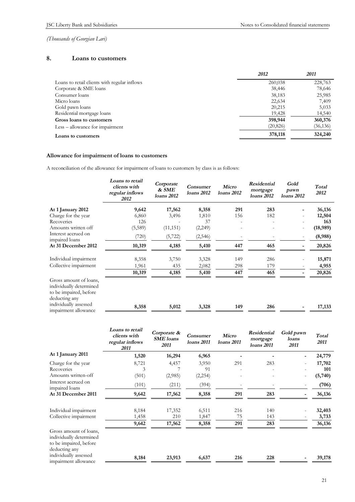# **8. Loans to customers**

|                                              | 2012      | 2011      |
|----------------------------------------------|-----------|-----------|
| Loans to retail clients with regular inflows | 260,038   | 228,763   |
| Corporate & SME loans                        | 38,446    | 78,646    |
| Consumer loans                               | 38,183    | 25,985    |
| Micro loans                                  | 22,634    | 7,409     |
| Gold pawn loans                              | 20,215    | 5,033     |
| Residential mortgage loans                   | 19,428    | 14,540    |
| Gross loans to customers                     | 398,944   | 360,376   |
| Less – allowance for impairment              | (20, 826) | (36, 136) |
| Loans to customers                           | 378,118   | 324,240   |

# **Allowance for impairment of loans to customers**

A reconciliation of the allowance for impairment of loans to customers by class is as follows:

|                                                                                              | Loans to retail<br>clients with<br>regular inflows<br>2012 | Corporate<br>& SME<br>loans 2012 | <b>Consumer</b><br>loans 2012 | Micro<br>loans 2012      | Residential<br>mortgage<br>loans 2012 | Gold<br>pawn<br><i>loans</i> 2012 | Total<br>2012 |
|----------------------------------------------------------------------------------------------|------------------------------------------------------------|----------------------------------|-------------------------------|--------------------------|---------------------------------------|-----------------------------------|---------------|
| At 1 January 2012                                                                            | 9,642                                                      | 17,562                           | 8,358                         | 291                      | 283                                   |                                   | 36,136        |
| Charge for the year                                                                          | 6,860                                                      | 3,496                            | 1,810                         | 156                      | 182                                   |                                   | 12,504        |
| Recoveries                                                                                   | 126                                                        |                                  | 37                            | $\overline{\phantom{0}}$ |                                       |                                   | 163           |
| Amounts written off                                                                          | (5,589)                                                    | (11, 151)                        | (2,249)                       |                          |                                       |                                   | (18,989)      |
| Interest accrued on<br>impaired loans                                                        | (720)                                                      | (5,722)                          | (2, 546)                      |                          |                                       |                                   | (8,988)       |
| At 31 December 2012                                                                          | 10,319                                                     | 4,185                            | 5,410                         | 447                      | 465                                   |                                   | 20,826        |
| Individual impairment                                                                        | 8,358                                                      | 3,750                            | 3,328                         | 149                      | 286                                   |                                   | 15,871        |
| Collective impairment                                                                        | 1,961                                                      | 435                              | 2,082                         | 298                      | 179                                   |                                   | 4,955         |
|                                                                                              | 10,319                                                     | 4,185                            | 5,410                         | 447                      | 465                                   |                                   | 20,826        |
| Gross amount of loans,<br>individually determined<br>to be impaired, before<br>deducting any |                                                            |                                  |                               |                          |                                       |                                   |               |
| individually assessed<br>impairment allowance                                                | 8,358                                                      | 5,012                            | 3,328                         | 149                      | 286                                   |                                   | 17,133        |

|                                                                                                                       | <b>Loans to retail</b><br>clients with<br>regular inflows<br>2011 | Corporate &<br><b>SME</b> loans<br>2011 | <b>Consumer</b><br>loans 2011 | Micro<br>loans 2011 | Residential<br>mortgage<br>loans 2011 | Gold pawn<br>loans<br>2011 | Total<br>2011            |
|-----------------------------------------------------------------------------------------------------------------------|-------------------------------------------------------------------|-----------------------------------------|-------------------------------|---------------------|---------------------------------------|----------------------------|--------------------------|
| At 1 January 2011                                                                                                     | 1,520                                                             | 16,294                                  | 6,965                         |                     |                                       | -                          | 24,779                   |
| Charge for the year<br>Recoveries<br>Amounts written-off                                                              | 8,721<br>3<br>(501)                                               | 4,457<br>(2,985)                        | 3,950<br>91<br>(2, 254)       | 291                 | 283                                   | $\overline{\phantom{0}}$   | 17,702<br>101<br>(5,740) |
| Interest accrued on<br>impaired loans<br>At 31 December 2011                                                          | (101)<br>9,642                                                    | (211)<br>17,562                         | (394)<br>8,358                | 291                 | 283                                   |                            | (706)<br>36,136          |
|                                                                                                                       |                                                                   |                                         |                               |                     |                                       |                            |                          |
| Individual impairment<br>Collective impairment                                                                        | 8,184<br>1,458                                                    | 17,352<br>210                           | 6,511<br>1,847                | 216<br>75           | 140<br>143                            |                            | 32,403<br>3,733          |
| Gross amount of loans,<br>individually determined<br>to be impaired, before<br>deducting any<br>individually assessed | 9,642                                                             | 17,562                                  | 8,358                         | 291                 | 283                                   |                            | 36,136                   |
| impairment allowance                                                                                                  | 8,184                                                             | 23,913                                  | 6,637                         | 216                 | 228                                   |                            | 39,178                   |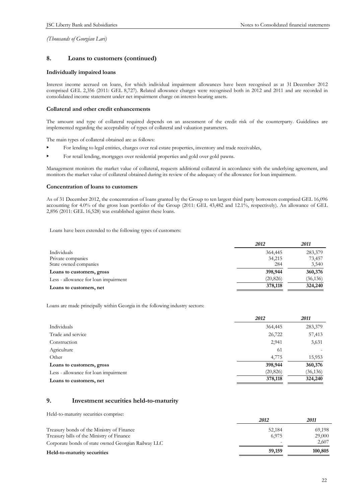# **8. Loans to customers (continued)**

#### **Individually impaired loans**

Interest income accrued on loans, for which individual impairment allowances have been recognised as at 31 December 2012 comprised GEL 2,356 (2011: GEL 8,727). Related allowance charges were recognised both in 2012 and 2011 and are recorded in consolidated income statement under net impairment charge on interest-bearing assets.

#### **Collateral and other credit enhancements**

The amount and type of collateral required depends on an assessment of the credit risk of the counterparty. Guidelines are implemented regarding the acceptability of types of collateral and valuation parameters.

The main types of collateral obtained are as follows:

- For lending to legal entities, charges over real estate properties, inventory and trade receivables,
- For retail lending, mortgages over residential properties and gold over gold pawns.

Management monitors the market value of collateral, requests additional collateral in accordance with the underlying agreement, and monitors the market value of collateral obtained during its review of the adequacy of the allowance for loan impairment.

#### **Concentration of loans to customers**

As of 31 December 2012, the concentration of loans granted by the Group to ten largest third party borrowers comprised GEL 16,096 accounting for 4.0% of the gross loan portfolio of the Group (2011: GEL 43,482 and 12.1%, respectively). An allowance of GEL 2,896 (2011: GEL 16,528) was established against these loans.

Loans have been extended to the following types of customers:

|                                      | 2012      | 2011      |
|--------------------------------------|-----------|-----------|
| Individuals                          | 364,445   | 283,379   |
| Private companies                    | 34,215    | 73,457    |
| State owned companies                | 284       | 3,540     |
| Loans to customers, gross            | 398,944   | 360,376   |
| Less - allowance for loan impairment | (20, 826) | (36, 136) |
| Loans to customers, net              | 378,118   | 324,240   |

Loans are made principally within Georgia in the following industry sectors:

|                                      | 2012      | 2011      |
|--------------------------------------|-----------|-----------|
| Individuals                          | 364,445   | 283,379   |
| Trade and service                    | 26,722    | 57,413    |
| Construction                         | 2,941     | 3,631     |
| Agriculture                          | 61        |           |
| Other                                | 4,775     | 15,953    |
| Loans to customers, gross            | 398,944   | 360,376   |
| Less - allowance for loan impairment | (20, 826) | (36, 136) |
| Loans to customers, net              | 378,118   | 324,240   |

# **9. Investment securities held-to-maturity**

Held-to-maturity securities comprise:

|                                                     | 2012   | 2011    |
|-----------------------------------------------------|--------|---------|
| Treasury bonds of the Ministry of Finance           | 52.184 | 69,198  |
| Treasury bills of the Ministry of Finance           | 6.975  | 29,000  |
| Corporate bonds of state owned Georgian Railway LLC | -      | 2.607   |
| Held-to-maturity securities                         | 59,159 | 100,805 |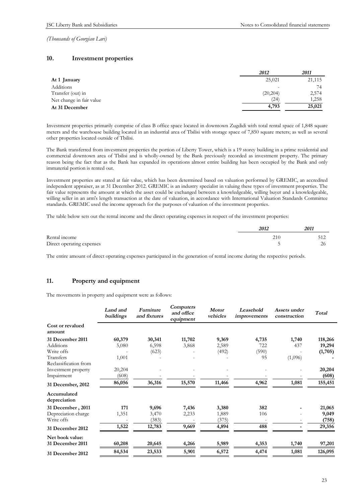### **10. Investment properties**

|                          | 2012                     | 2011   |
|--------------------------|--------------------------|--------|
| At 1 January             | 25,021                   | 21,115 |
| Additions                | $\overline{\phantom{a}}$ | 74     |
| Transfer (out) in        | (20, 204)                | 2,574  |
| Net change in fair value | (24)                     | 1,258  |
| At 31 December           | 4,793                    | 25,021 |

Investment properties primarily comprise of class B office space located in downtown Zugdidi with total rental space of 1,848 square meters and the warehouse building located in an industrial area of Tbilisi with storage space of 7,850 square meters; as well as several other properties located outside of Tbilisi.

The Bank transferred from investment properties the portion of Liberty Tower, which is a 19 storey building in a prime residential and commercial downtown area of Tbilisi and is wholly-owned by the Bank previously recorded as investment property. The primary reason being the fact that as the Bank has expanded its operations almost entire building has been occupied by the Bank and only immaterial portion is rented out.

Investment properties are stated at fair value, which has been determined based on valuation performed by GREMIC, an accredited independent appraiser, as at 31 December 2012. GREMIC is an industry specialist in valuing these types of investment properties. The fair value represents the amount at which the asset could be exchanged between a knowledgeable, willing buyer and a knowledgeable, willing seller in an arm's length transaction at the date of valuation, in accordance with International Valuation Standards Committee standards. GREMIC used the income approach for the purposes of valuation of the investment properties.

The table below sets out the rental income and the direct operating expenses in respect of the investment properties:

|                           | 2012 | 2011 |
|---------------------------|------|------|
| Rental income             | 210  |      |
| Direct operating expenses |      | 26   |

The entire amount of direct operating expenses participated in the generation of rental income during the respective periods.

# **11. Property and equipment**

The movements in property and equipment were as follows:

|                             | Land and<br>buildings | Furniture<br>and fixtures | <b>Computers</b><br>and office<br>equipment | <b>Motor</b><br>vehicles | Leasehold<br>improvements | Assets under<br>construction | Total   |
|-----------------------------|-----------------------|---------------------------|---------------------------------------------|--------------------------|---------------------------|------------------------------|---------|
| Cost or revalued<br>amount  |                       |                           |                                             |                          |                           |                              |         |
| 31 December 2011            | 60,379                | 30,341                    | 11,702                                      | 9,369                    | 4,735                     | 1,740                        | 118,266 |
| Additions                   | 5,080                 | 6,598                     | 3,868                                       | 2,589                    | 722                       | 437                          | 19,294  |
| Write offs                  |                       | (623)                     |                                             | (492)                    | (590)                     |                              | (1,705) |
| Transfers                   | 1,001                 |                           |                                             |                          | 95                        | (1,096)                      |         |
| Reclassification from       |                       |                           |                                             |                          |                           |                              |         |
| Investment property         | 20,204                |                           |                                             |                          |                           |                              | 20,204  |
| Impairment                  | (608)                 |                           |                                             |                          |                           |                              | (608)   |
| 31 December, 2012           | 86,056                | 36,316                    | 15,570                                      | 11,466                   | 4,962                     | 1,081                        | 155,451 |
| Accumulated<br>depreciation |                       |                           |                                             |                          |                           |                              |         |
| 31 December, 2011           | 171                   | 9,696                     | 7,436                                       | 3,380                    | 382                       |                              | 21,065  |
| Depreciation charge         | 1,351                 | 3,470                     | 2,233                                       | 1,889                    | 106                       |                              | 9,049   |
| Write offs                  |                       | (383)                     |                                             | (375)                    |                           |                              | (758)   |
| 31 December 2012            | 1,522                 | 12,783                    | 9,669                                       | 4,894                    | 488                       |                              | 29,356  |
| Net book value:             |                       |                           |                                             |                          |                           |                              |         |
| 31 December 2011            | 60,208                | 20,645                    | 4,266                                       | 5,989                    | 4,353                     | 1,740                        | 97,201  |
| 31 December 2012            | 84,534                | 23,533                    | 5,901                                       | 6,572                    | 4,474                     | 1,081                        | 126,095 |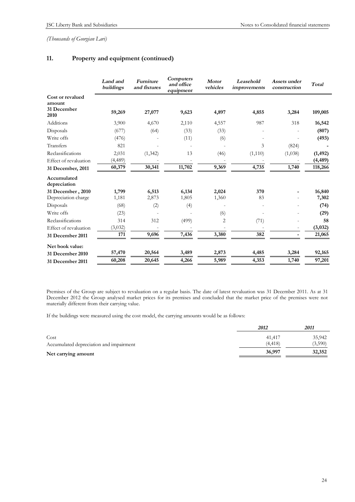# **11. Property and equipment (continued)**

|                                                   | Land and<br>buildings | Furniture<br>and fixtures | Computers<br>and office<br>equipment | <b>Motor</b><br>vehicles | Leasehold<br>improvements | Assets under<br>construction | Total    |
|---------------------------------------------------|-----------------------|---------------------------|--------------------------------------|--------------------------|---------------------------|------------------------------|----------|
| Cost or revalued<br>amount<br>31 December<br>2010 | 59,269                | 27,077                    | 9,623                                | 4,897                    | 4,855                     | 3,284                        | 109,005  |
| Additions                                         | 3,900                 | 4,670                     | 2,110                                | 4,557                    | 987                       | 318                          | 16,542   |
| Disposals                                         | (677)                 | (64)                      | (33)                                 | (33)                     |                           |                              | (807)    |
| Write offs                                        | (476)                 |                           | (11)                                 | (6)                      |                           |                              | (493)    |
| Transfers                                         | 821                   |                           |                                      |                          | 3                         | (824)                        |          |
| Reclassifications                                 | 2,031                 | (1, 342)                  | 13                                   | (46)                     | (1, 110)                  | (1,038)                      | (1, 492) |
| Effect of revaluation                             | (4,489)               |                           |                                      |                          |                           |                              | (4, 489) |
| 31 December, 2011                                 | 60,379                | 30,341                    | 11,702                               | 9,369                    | 4,735                     | 1,740                        | 118,266  |
| Accumulated<br>depreciation                       |                       |                           |                                      |                          |                           |                              |          |
| 31 December, 2010                                 | 1,799                 | 6,513                     | 6,134                                | 2,024                    | 370                       |                              | 16,840   |
| Depreciation charge                               | 1,181                 | 2,873                     | 1,805                                | 1,360                    | 83                        |                              | 7,302    |
| Disposals                                         | (68)                  | (2)                       | (4)                                  |                          |                           |                              | (74)     |
| Write offs                                        | (23)                  |                           |                                      | (6)                      |                           |                              | (29)     |
| Reclassifications                                 | 314                   | 312                       | (499)                                | $\overline{c}$           | (71)                      |                              | 58       |
| Effect of revaluation                             | (3,032)               |                           |                                      |                          |                           | $\overline{\phantom{a}}$     | (3,032)  |
| 31 December 2011                                  | 171                   | 9,696                     | 7,436                                | 3,380                    | 382                       |                              | 21,065   |
| Net book value:                                   |                       |                           |                                      |                          |                           |                              |          |
| 31 December 2010                                  | 57,470                | 20,564                    | 3,489                                | 2,873                    | 4,485                     | 3,284                        | 92,165   |
| 31 December 2011                                  | 60,208                | 20,645                    | 4,266                                | 5,989                    | 4,353                     | 1,740                        | 97,201   |

Premises of the Group are subject to revaluation on a regular basis. The date of latest revaluation was 31 December 2011. As at 31 December 2012 the Group analysed market prices for its premises and concluded that the market price of the premises were not materially different from their carrying value.

If the buildings were measured using the cost model, the carrying amounts would be as follows:

|                                         | 2012     | 2011    |
|-----------------------------------------|----------|---------|
| Cost                                    | 41,417   | 35,942  |
| Accumulated depreciation and impairment | (4, 418) | (3,590) |
| Net carrying amount                     | 36,997   | 32,352  |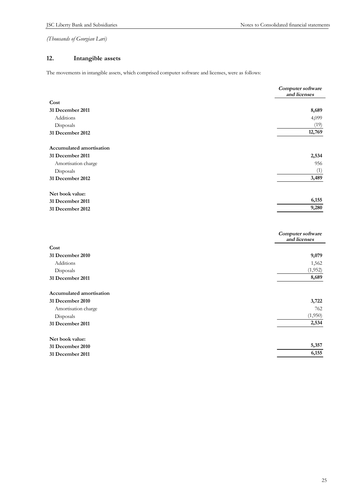# **12. Intangible assets**

The movements in intangible assets, which comprised computer software and licenses, were as follows:

|                          | Computer software<br>and licenses |
|--------------------------|-----------------------------------|
| Cost                     |                                   |
| 31 December 2011         | 8,689                             |
| Additions                | 4,099                             |
| Disposals                | (19)                              |
| 31 December 2012         | 12,769                            |
| Accumulated amortisation |                                   |
| 31 December 2011         | 2,534                             |
| Amortisation charge      | 956                               |
| Disposals                | (1)                               |
| 31 December 2012         | 3,489                             |
| Net book value:          |                                   |
| 31 December 2011         | 6,155                             |
| 31 December 2012         | 9,280                             |
|                          | Computer software<br>and licenses |
| Cost                     |                                   |
| 31 December 2010         | 9,079                             |
| Additions                | 1,562                             |
| Disposals                | (1,952)                           |
| 31 December 2011         | 8,689                             |
| Accumulated amortisation |                                   |
| 31 December 2010         | 3,722                             |
| Amortisation charge      | 762                               |
| Disposals                | (1,950)                           |
| 31 December 2011         | 2,534                             |
| Net book value:          |                                   |
| 31 December 2010         | 5,357                             |
| 31 December 2011         | 6,155                             |

| <b>JI DUULIIDUL 4010</b> | .     |
|--------------------------|-------|
| 31 December 2011<br>.    | 6,155 |
|                          |       |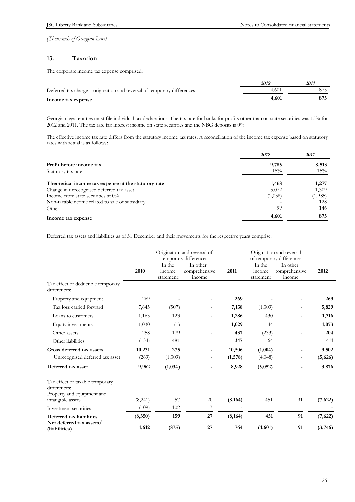# **13. Taxation**

The corporate income tax expense comprised:

|                                                                         | 2012  | 2011 |
|-------------------------------------------------------------------------|-------|------|
| Deferred tax charge – origination and reversal of temporary differences | 4.601 |      |
| Income tax expense                                                      | 4.601 |      |

Georgian legal entities must file individual tax declarations. The tax rate for banks for profits other than on state securities was 15% for 2012 and 2011. The tax rate for interest income on state securities and the NBG deposits is 0%.

The effective income tax rate differs from the statutory income tax rates. A reconciliation of the income tax expense based on statutory rates with actual is as follows:

|                                                      | 2012    | 2011    |
|------------------------------------------------------|---------|---------|
| Profit before income tax                             | 9,785   | 8,513   |
| Statutory tax rate                                   | 15%     | 15%     |
| Theoretical income tax expense at the statutory rate | 1,468   | 1,277   |
| Change in unrecognised deferred tax asset            | 5,072   | 1,309   |
| Income from state securities at $0\%$                | (2,038) | (1,985) |
| Non-taxable income related to sale of subsidiary     |         | 128     |
| Other                                                | 99      | 146     |
| Income tax expense                                   | 4,601   | 875     |

Deferred tax assets and liabilities as of 31 December and their movements for the respective years comprise:

|                                                                               |         | Origination and reversal of<br>temporary differences |                                     |          | Origination and reversal<br>of temporary differences |                                     |          |
|-------------------------------------------------------------------------------|---------|------------------------------------------------------|-------------------------------------|----------|------------------------------------------------------|-------------------------------------|----------|
|                                                                               | 2010    | In the<br>income<br>statement                        | In other<br>comprehensive<br>income | 2011     | In the<br>income<br>statement                        | In other<br>comprehensive<br>income | 2012     |
| Tax effect of deductible temporary<br>differences:                            |         |                                                      |                                     |          |                                                      |                                     |          |
| Property and equipment                                                        | 269     |                                                      |                                     | 269      |                                                      |                                     | 269      |
| Tax loss carried forward                                                      | 7,645   | (507)                                                |                                     | 7,138    | (1,309)                                              |                                     | 5,829    |
| Loans to customers                                                            | 1,163   | 123                                                  |                                     | 1,286    | 430                                                  |                                     | 1,716    |
| Equity investments                                                            | 1,030   | (1)                                                  |                                     | 1,029    | 44                                                   |                                     | 1,073    |
| Other assets                                                                  | 258     | 179                                                  |                                     | 437      | (233)                                                |                                     | 204      |
| Other liabilities                                                             | (134)   | 481                                                  |                                     | 347      | 64                                                   |                                     | 411      |
| Gross deferred tax assets                                                     | 10,231  | 275                                                  |                                     | 10,506   | (1,004)                                              |                                     | 9,502    |
| Unrecognised deferred tax asset                                               | (269)   | (1,309)                                              |                                     | (1,578)  | (4,048)                                              |                                     | (5,626)  |
| Deferred tax asset                                                            | 9,962   | (1,034)                                              |                                     | 8,928    | (5,052)                                              |                                     | 3,876    |
| Tax effect of taxable temporary<br>differences:<br>Property and equipment and |         |                                                      |                                     |          |                                                      |                                     |          |
| intangible assets                                                             | (8,241) | 57                                                   | 20                                  | (8, 164) | 451                                                  | 91                                  | (7, 622) |
| Investment securities                                                         | (109)   | 102                                                  | 7                                   |          |                                                      | $\overline{\phantom{a}}$            |          |
| Deferred tax liabilities                                                      | (8,350) | 159                                                  | 27                                  | (8, 164) | 451                                                  | 91                                  | (7, 622) |
| Net deferred tax assets/<br>(liabilities)                                     | 1,612   | (875)                                                | 27                                  | 764      | (4,601)                                              | 91                                  | (3,746)  |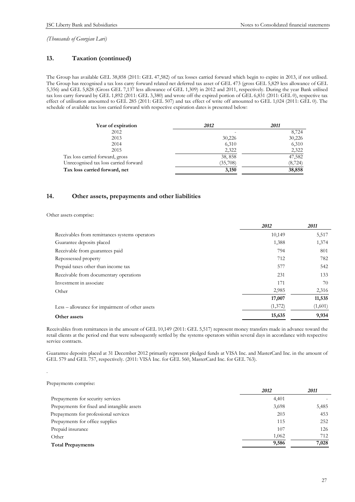# **13. Taxation (continued)**

The Group has available GEL 38,858 (2011: GEL 47,582) of tax losses carried forward which begin to expire in 2013, if not utilised. The Group has recognised a tax loss carry forward related net deferred tax asset of GEL 473 (gross GEL 5,829 less allowance of GEL 5,356) and GEL 5,828 (Gross GEL 7,137 less allowance of GEL 1,309) in 2012 and 2011, respectively. During the year Bank utilised tax loss carry forward by GEL 1,892 (2011: GEL 3,380) and wrote off the expired portion of GEL 6,831 (2011: GEL 0), respective tax effect of utilisation amounted to GEL 285 (2011: GEL 507) and tax effect of write off amounted to GEL 1,024 (2011: GEL 0). The schedule of available tax loss carried forward with respective expiration dates is presented below:

| Year of expiration                    | 2012     | 2011     |
|---------------------------------------|----------|----------|
| 2012                                  |          | 8,724    |
| 2013                                  | 30,226   | 30,226   |
| 2014                                  | 6,310    | 6,310    |
| 2015                                  | 2,322    | 2,322    |
| Tax loss carried forward, gross       | 38,858   | 47,582   |
| Unrecognised tax loss carried forward | (35,708) | (8, 724) |
| Tax loss carried forward, net         | 3,150    | 38,858   |

### **14. Other assets, prepayments and other liabilities**

Other assets comprise:

|                                                 | 2012    | 2011    |
|-------------------------------------------------|---------|---------|
| Receivables from remittances systems operators  | 10,149  | 5,517   |
| Guarantee deposits placed                       | 1,388   | 1,374   |
| Receivable from guarantees paid                 | 794     | 801     |
| Repossessed property                            | 712     | 782     |
| Prepaid taxes other than income tax             | 577     | 542     |
| Receivable from documentary operations          | 231     | 133     |
| Investment in associate                         | 171     | 70      |
| Other                                           | 2,985   | 2,316   |
|                                                 | 17,007  | 11,535  |
| Less – allowance for impairment of other assets | (1,372) | (1,601) |
| Other assets                                    | 15,635  | 9,934   |

Receivables from remittances in the amount of GEL 10,149 (2011: GEL 5,517) represent money transfers made in advance toward the retail clients at the period end that were subsequently settled by the systems operators within several days in accordance with respective service contracts.

Guarantee deposits placed at 31 December 2012 primarily represent pledged funds at VISA Inc. and MasterCard Inc. in the amount of GEL 579 and GEL 757, respectively. (2011: VISA Inc. for GEL 560, MasterCard Inc. for GEL 763).

#### Prepayments comprise:

.

|                                             | 2012  | 2011  |
|---------------------------------------------|-------|-------|
| Prepayments for security services           | 4,401 |       |
| Prepayments for fixed and intangible assets | 3,698 | 5,485 |
| Prepayments for professional services       | 203   | 453   |
| Prepayments for office supplies             | 115   | 252   |
| Prepaid insurance                           | 107   | 126   |
| Other                                       | 1,062 | 712   |
| <b>Total Prepayments</b>                    | 9,586 | 7,028 |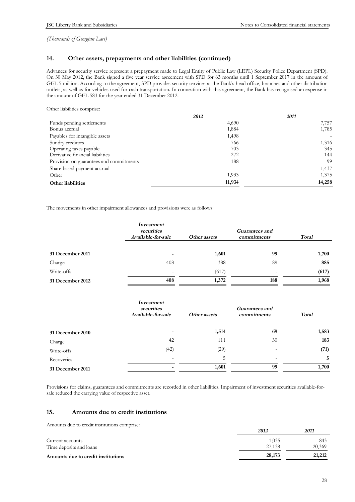### **14. Other assets, prepayments and other liabilities (continued)**

Advances for security service represent a prepayment made to Legal Entity of Public Law (LEPL) Security Police Department (SPD). On 30 May 2012, the Bank signed a five year service agreement with SPD for 63 months until 1 September 2017 in the amount of GEL 5 million. According to the agreement, SPD provides security services at the Bank's head office, branches and other distribution outlets, as well as for vehicles used for cash transportation. In connection with this agreement, the Bank has recognised an expense in the amount of GEL 583 for the year ended 31 December 2012.

Other liabilities comprise:

| 2012   | 2011   |
|--------|--------|
| 4,690  | 7,757  |
| 1,884  | 1,785  |
| 1,498  |        |
| 766    | 1,316  |
| 703    | 345    |
| 272    | 144    |
| 188    | 99     |
|        | 1,437  |
| 1,933  | 1,375  |
| 11,934 | 14,258 |
|        |        |

The movements in other impairment allowances and provisions were as follows:

|                  | Investment<br>securities<br>Available-for-sale | Other assets | Guarantees and<br>commitments | Total |
|------------------|------------------------------------------------|--------------|-------------------------------|-------|
| 31 December 2011 | $\,$                                           | 1,601        | 99                            | 1,700 |
| Charge           | 408                                            | 388          | 89                            | 885   |
| Write-offs       | $\overline{\phantom{a}}$                       | (617)        |                               | (617) |
| 31 December 2012 | 408                                            | 1,372        | 188                           | 1,968 |

|                  | Investment<br>securities<br>Available-for-sale | Other assets | <b>Guarantees and</b><br>commitments | <b>Total</b> |
|------------------|------------------------------------------------|--------------|--------------------------------------|--------------|
| 31 December 2010 |                                                | 1,514        | 69                                   | 1,583        |
| Charge           | 42                                             | 111          | 30                                   | 183          |
| Write-offs       | (42)                                           | (29)         | $\overline{\phantom{a}}$             | (71)         |
| Recoveries       | $\overline{\phantom{0}}$                       | 5            |                                      | 5            |
| 31 December 2011 |                                                | 1,601        | 99                                   | 1,700        |

Provisions for claims, guarantees and commitments are recorded in other liabilities. Impairment of investment securities available-forsale reduced the carrying value of respective asset.

#### **15. Amounts due to credit institutions**

Amounts due to credit institutions comprise:

|                                    | 2012   | 2011   |
|------------------------------------|--------|--------|
| Current accounts                   | 1.035  | 843    |
| Time deposits and loans            | 27,138 | 20,369 |
| Amounts due to credit institutions | 28,173 | 21,212 |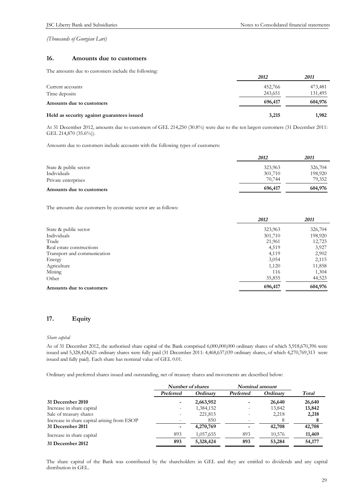# **16. Amounts due to customers**

The amounts due to customers include the following:

|                                            | 2012    | 2011    |
|--------------------------------------------|---------|---------|
| Current accounts                           | 452,766 | 473,481 |
| Time deposits                              | 243,651 | 131,495 |
| Amounts due to customers                   | 696,417 | 604,976 |
| Held as security against guarantees issued | 3,215   | 1,982   |

At 31 December 2012, amounts due to customers of GEL 214,250 (30.8%) were due to the ten largest customers (31 December 2011: GEL 214,870 (35.6%)).

Amounts due to customers include accounts with the following types of customers:

|                          | 2012    | 2011    |
|--------------------------|---------|---------|
| State & public sector    | 323,963 | 326,704 |
| Individuals              | 301,710 | 198,920 |
| Private enterprises      | 70,744  | 79,352  |
| Amounts due to customers | 696,417 | 604,976 |

The amounts due customers by economic sector are as follows:

|                             | 2012    | 2011    |
|-----------------------------|---------|---------|
| State & public sector       | 323,963 | 326,704 |
| Individuals                 | 301,710 | 198,920 |
| Trade                       | 21,961  | 12,723  |
| Real estate constructions   | 4,519   | 3,927   |
| Transport and communication | 4,119   | 2,902   |
| Energy                      | 3,054   | 2,115   |
| Agriculture                 | 1,120   | 11,858  |
| Mining                      | 116     | 1,304   |
| Other                       | 35,855  | 44,523  |
| Amounts due to customers    | 696,417 | 604,976 |

# **17. Equity**

#### *Share capital*

As of 31 December 2012, the authorised share capital of the Bank comprised 6,000,000,000 ordinary shares of which 5,918,670,396 were issued and 5,328,424,621 ordinary shares were fully paid (31 December 2011: 4,468,637,039 ordinary shares, of which 4,270,769,313 were issued and fully paid). Each share has nominal value of GEL 0.01.

Ordinary and preferred shares issued and outstanding, net of treasury shares and movements are described below:

|                                             | Number of shares |           | Nominal amount           |          |              |
|---------------------------------------------|------------------|-----------|--------------------------|----------|--------------|
|                                             | Preferred        | Ordinary  | Preferred                | Ordinary | <b>Total</b> |
| 31 December 2010                            |                  | 2,663,952 |                          | 26,640   | 26,640       |
| Increase in share capital                   |                  | 1,384,152 | $\overline{\phantom{a}}$ | 13,842   | 13,842       |
| Sale of treasury shares                     |                  | 221,815   |                          | 2,218    | 2,218        |
| Increase in share capital arising from ESOP |                  | 850       |                          |          |              |
| 31 December 2011                            |                  | 4,270,769 |                          | 42,708   | 42,708       |
| Increase in share capital                   | 893              | 1,057,655 | 893                      | 10,576   | 11,469       |
| 31 December 2012                            | 893              | 5,328,424 | 893                      | 53,284   | 54,177       |

The share capital of the Bank was contributed by the shareholders in GEL and they are entitled to dividends and any capital distribution in GEL.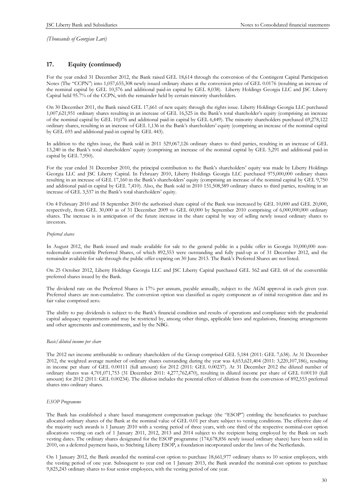# **17. Equity (continued)**

For the year ended 31 December 2012, the Bank raised GEL 18,614 through the conversion of the Contingent Capital Participation Notes (The "CCPN") into 1,057,655,308 newly issued ordinary shares at the conversion price of GEL 0.0176 (resulting an increase of the nominal capital by GEL 10,576 and additional paid-in capital by GEL 8,038). Liberty Holdings Georgia LLC and JSC Liberty Capital held 95.7% of the CCPN, with the remainder held by certain minority shareholders.

On 30 December 2011, the Bank raised GEL 17,661 of new equity through the rights issue. Liberty Holdings Georgia LLC purchased 1,007,621,951 ordinary shares resulting in an increase of GEL 16,525 in the Bank's total shareholder's equity (comprising an increase of the nominal capital by GEL 10,076 and additional paid-in capital by GEL 6,449). The minority shareholders purchased 69,278,122 ordinary shares, resulting in an increase of GEL 1,136 in the Bank's shareholders' equity (comprising an increase of the nominal capital by GEL 693 and additional paid-in capital by GEL 443).

In addition to the rights issue, the Bank sold in 2011 529,067,126 ordinary shares to third parties, resulting in an increase of GEL 13,240 in the Bank's total shareholders' equity (comprising an increase of the nominal capital by GEL 5,291 and additional paid-in capital by GEL 7,950).

For the year ended 31 December 2010, the principal contribution to the Bank's shareholders' equity was made by Liberty Holdings Georgia LLC and JSC Liberty Capital. In February 2010, Liberty Holdings Georgia LLC purchased 975,000,000 ordinary shares resulting in an increase of GEL 17,160 in the Bank's shareholders' equity (comprising an increase of the nominal capital by GEL 9,750 and additional paid-in capital by GEL 7,410). Also, the Bank sold in 2010 151,508,589 ordinary shares to third parties, resulting in an increase of GEL 3,537 in the Bank's total shareholders' equity.

On 4 February 2010 and 18 September 2010 the authorised share capital of the Bank was increased by GEL 10,000 and GEL 20,000, respectively, from GEL 30,000 as of 31 December 2009 to GEL 60,000 by September 2010 comprising of 6,000,000,000 ordinary shares. The increase is in anticipation of the future increase in the share capital by way of selling newly issued ordinary shares to investors.

#### *Preferred shares*

In August 2012, the Bank issued and made available for sale to the general public in a public offer in Georgia 10,000,000 nonredeemable convertible Preferred Shares, of which 892,553 were outstanding and fully paid-up as of 31 December 2012, and the remainder available for sale through the public offer expiring on 30 June 2013. The Bank's Preferred Shares are not listed.

On 25 October 2012, Liberty Holdings Georgia LLC and JSC Liberty Capital purchased GEL 562 and GEL 68 of the convertible preferred shares issued by the Bank.

The dividend rate on the Preferred Shares is 17% per annum, payable annually, subject to the AGM approval in each given year. Preferred shares are non-cumulative. The conversion option was classified as equity component as of initial recognition date and its fair value comprised zero.

The ability to pay dividends is subject to the Bank's financial condition and results of operations and compliance with the prudential capital adequacy requirements and may be restricted by, among other things, applicable laws and regulations, financing arrangements and other agreements and commitments, and by the NBG.

#### *Basic/diluted income per share*

The 2012 net income attributable to ordinary shareholders of the Group comprised GEL 5,184 (2011: GEL 7,638). At 31 December 2012, the weighted average number of ordinary shares outstanding during the year was 4,653,621,404 (2011: 3,220,107,186), resulting in income per share of GEL 0.00111 (full amount) for 2012 (2011: GEL 0.00237). At 31 December 2012 the diluted number of ordinary shares was 4,701,071,753 (31 December 2011: 4,277,762,470), resulting in diluted income per share of GEL 0.00110 (full amount) for 2012 (2011: GEL 0.00234). The dilution includes the potential effect of dilution from the conversion of 892,553 preferred shares into ordinary shares.

#### *ESOP Programme*

The Bank has established a share based management compensation package (the "ESOP") entitling the beneficiaries to purchase allocated ordinary shares of the Bank at the nominal value of GEL 0.01 per share subject to vesting conditions. The effective date of the majority such awards is 1 January 2010 with a vesting period of three years, with one third of the respective nominal-cost option allocations vesting on each of 1 January 2011, 2012, 2013 and 2014 subject to the recipient being employed by the Bank on such vesting dates. The ordinary shares designated for the ESOP programme (174,678,856 newly issued ordinary shares) have been sold in 2010, on a deferred payment basis, to Stichting Liberty ESOP, a foundation incorporated under the laws of the Netherlands.

On 1 January 2012, the Bank awarded the nominal-cost option to purchase 18,661,977 ordinary shares to 10 senior employees, with the vesting period of one year. Subsequent to year end on 1 January 2013, the Bank awarded the nominal-cost options to purchase 9,825,243 ordinary shares to four senior employees, with the vesting period of one year.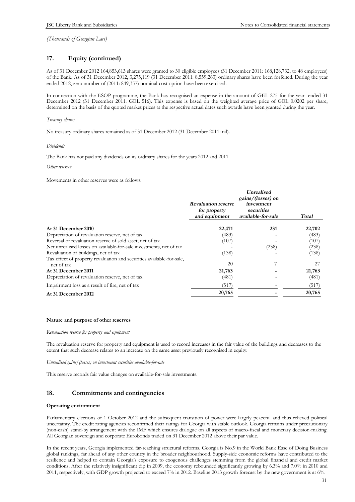# **17. Equity (continued)**

As of 31 December 2012 164,853,613 shares were granted to 30 eligible employees (31 December 2011: 168,128,732, to 48 employees) of the Bank. As of 31 December 2012, 3,275,119 (31 December 2011: 8,559,263) ordinary shares have been forfeited. During the year ended 2012, zero number of (2011: 849,357) nominal-cost option have been exercised.

In connection with the ESOP programme, the Bank has recognised an expense in the amount of GEL 275 for the year ended 31 December 2012 (31 December 2011: GEL 516). This expense is based on the weighted average price of GEL 0.0202 per share, determined on the basis of the quoted market prices at the respective actual dates such awards have been granted during the year.

*Treasury shares* 

No treasury ordinary shares remained as of 31 December 2012 (31 December 2011: nil).

*Dividends* 

The Bank has not paid any dividends on its ordinary shares for the years 2012 and 2011

*Other reserves* 

Movements in other reserves were as follows:

|                                                                                     | <b>Revaluation reserve</b><br>for property<br>and equipment | <b>Unrealised</b><br>gains/(losses) on<br>investment<br>securities<br>available-for-sale | Total  |
|-------------------------------------------------------------------------------------|-------------------------------------------------------------|------------------------------------------------------------------------------------------|--------|
| At 31 December 2010                                                                 | 22,471                                                      | 231                                                                                      | 22,702 |
| Depreciation of revaluation reserve, net of tax                                     | (483)                                                       |                                                                                          | (483)  |
| Reversal of revaluation reserve of sold asset, net of tax                           | (107)                                                       |                                                                                          | (107)  |
| Net unrealised losses on available-for-sale investments, net of tax                 |                                                             | (238)                                                                                    | (238)  |
| Revaluation of buildings, net of tax                                                | (138)                                                       |                                                                                          | (138)  |
| Tax effect of property revaluation and securities available-for-sale,<br>net of tax | 20                                                          |                                                                                          | 27     |
| At 31 December 2011                                                                 | 21,763                                                      |                                                                                          | 21,763 |
| Depreciation of revaluation reserve, net of tax                                     | (481)                                                       |                                                                                          | (481)  |
| Impairment loss as a result of fire, net of tax                                     | (517)                                                       |                                                                                          | (517)  |
| At 31 December 2012                                                                 | 20,765                                                      |                                                                                          | 20,765 |

#### **Nature and purpose of other reserves**

#### *Revaluation reserve for property and equipment*

The revaluation reserve for property and equipment is used to record increases in the fair value of the buildings and decreases to the extent that such decrease relates to an increase on the same asset previously recognised in equity.

*Unrealised gains/(losses) on investment securities available-for-sale* 

This reserve records fair value changes on available-for-sale investments.

### **18. Commitments and contingencies**

#### **Operating environment**

Parliamentary elections of 1 October 2012 and the subsequent transition of power were largely peaceful and thus relieved political uncertainty. The credit rating agencies reconfirmed their ratings for Georgia with stable outlook. Georgia remains under precautionary (non-cash) stand-by arrangement with the IMF which ensures dialogue on all aspects of macro-fiscal and monetary decision-making. All Georgian sovereign and corporate Eurobonds traded on 31 December 2012 above their par value.

In the recent years, Georgia implemented far-reaching structural reforms. Georgia is No.9 in the World Bank Ease of Doing Business global rankings, far ahead of any other country in the broader neighbourhood. Supply-side economic reforms have contributed to the resilience and helped to contain Georgia's exposure to exogenous challenges stemming from the global financial and credit market conditions. After the relatively insignificant dip in 2009, the economy rebounded significantly growing by 6.3% and 7.0% in 2010 and 2011, respectively, with GDP growth projected to exceed 7% in 2012. Baseline 2013 growth forecast by the new government is at 6%.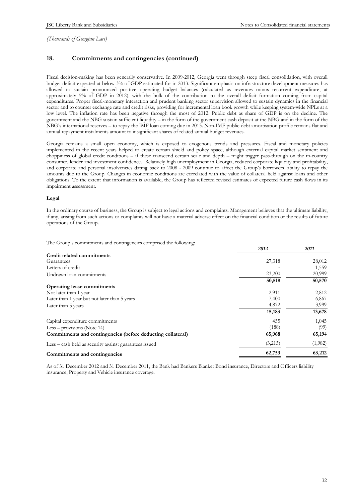# **18. Commitments and contingencies (continued)**

Fiscal decision-making has been generally conservative. In 2009-2012, Georgia went through steep fiscal consolidation, with overall budget deficit expected at below 3% of GDP estimated for in 2013. Significant emphasis on infrastructure development measures has allowed to sustain pronounced positive operating budget balances (calculated as revenues minus recurrent expenditure, at approximately 5% of GDP in 2012), with the bulk of the contribution to the overall deficit formation coming from capital expenditures. Proper fiscal-monetary interaction and prudent banking sector supervision allowed to sustain dynamics in the financial sector and to counter exchange rate and credit risks, providing for incremental loan book growth while keeping system-wide NPLs at a low level. The inflation rate has been negative through the most of 2012. Public debt as share of GDP is on the decline. The government and the NBG sustain sufficient liquidity – in the form of the government cash deposit at the NBG and in the form of the NBG's international reserves – to repay the IMF loan coming due in 2013. Non-IMF public debt amortisation profile remains flat and annual repayment instalments amount to insignificant shares of related annual budget revenues.

Georgia remains a small open economy, which is exposed to exogenous trends and pressures. Fiscal and monetary policies implemented in the recent years helped to create certain shield and policy space, although external capital market sentiment and choppiness of global credit conditions – if these transcend certain scale and depth – might trigger pass-through on the in-country consumer, lender and investment confidence. Relatively high unemployment in Georgia, reduced corporate liquidity and profitability, and corporate and personal insolvencies dating back to 2008 - 2009 continue to affect the Group's borrowers' ability to repay the amounts due to the Group. Changes in economic conditions are correlated with the value of collateral held against loans and other obligations. To the extent that information is available, the Group has reflected revised estimates of expected future cash flows in its impairment assessment.

#### **Legal**

In the ordinary course of business, the Group is subject to legal actions and complaints. Management believes that the ultimate liability, if any, arising from such actions or complaints will not have a material adverse effect on the financial condition or the results of future operations of the Group.

The Group's commitments and contingencies comprised the following:

|                                                             | 2012    | 2011    |
|-------------------------------------------------------------|---------|---------|
| Credit related commitments                                  |         |         |
| Guarantees                                                  | 27,318  | 28,012  |
| Letters of credit                                           |         | 1,559   |
| Undrawn loan commitments                                    | 23,200  | 20,999  |
|                                                             | 50,518  | 50,570  |
| Operating lease commitments                                 |         |         |
| Not later than 1 year                                       | 2,911   | 2,812   |
| Later than 1 year but not later than 5 years                | 7,400   | 6,867   |
| Later than 5 years                                          | 4,872   | 3,999   |
|                                                             | 15,183  | 13,678  |
| Capital expenditure commitments                             | 455     | 1,045   |
| Less $-$ provisions (Note 14)                               | (188)   | (99)    |
| Commitments and contingencies (before deducting collateral) | 65,968  | 65,194  |
| Less – cash held as security against guarantees issued      | (3,215) | (1,982) |
| Commitments and contingencies                               | 62,753  | 63,212  |
|                                                             |         |         |

As of 31 December 2012 and 31 December 2011, the Bank had Bankers Blanket Bond insurance, Directors and Officers liability insurance, Property and Vehicle insurance coverage.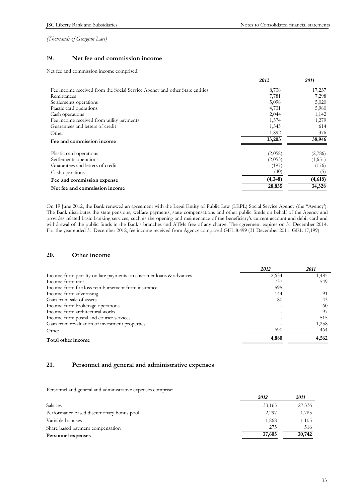# **19. Net fee and commission income**

Net fee and commission income comprised:

|                                                                             | 2012    | 2011    |
|-----------------------------------------------------------------------------|---------|---------|
| Fee income received from the Social Service Agency and other State entities | 8,738   | 17,237  |
| Remittances                                                                 | 7,781   | 7,298   |
| Settlements operations                                                      | 5,098   | 5,020   |
| Plastic card operations                                                     | 4,731   | 5,980   |
| Cash operations                                                             | 2,044   | 1,142   |
| Fee income received from utility payments                                   | 1,574   | 1,279   |
| Guarantees and letters of credit                                            | 1,345   | 614     |
| Other                                                                       | 1,892   | 376     |
| Fee and commission income                                                   | 33,203  | 38,946  |
| Plastic card operations                                                     | (2,058) | (2,786) |
| Settlements operations                                                      | (2,053) | (1,651) |
| Guarantees and letters of credit                                            | (197)   | (176)   |
| Cash operations                                                             | (40)    | (5)     |
| Fee and commission expense                                                  | (4,348) | (4,618) |
| Net fee and commission income                                               | 28,855  | 34,328  |

On 19 June 2012, the Bank renewed an agreement with the Legal Entity of Public Law (LEPL) Social Service Agency (the "Agency'). The Bank distributes the state pensions, welfare payments, state compensations and other public funds on behalf of the Agency and provides related basic banking services, such as the opening and maintenance of the beneficiary's current account and debit card and withdrawal of the public funds in the Bank's branches and ATMs free of any charge. The agreement expires on 31 December 2014. For the year ended 31 December 2012, fee income received from Agency comprised GEL 8,499 (31 December 2011: GEL 17,199)

# **20. Other income**

| 1,485<br>549 |
|--------------|
|              |
|              |
|              |
| 91           |
| 43           |
| -60          |
| 97           |
| 515          |
| 1,258        |
| 464          |
| 4,562        |
|              |

# **21. Personnel and general and administrative expenses**

Personnel and general and administrative expenses comprise:

|                                            | 2012   | 2011   |
|--------------------------------------------|--------|--------|
| Salaries                                   | 33,165 | 27,336 |
| Performance based discretionary bonus pool | 2,297  | 1,785  |
| Variable bonuses                           | 1,868  | 1,105  |
| Share based payment compensation           | 275    | 516    |
| Personnel expenses                         | 37,605 | 30,742 |
|                                            |        |        |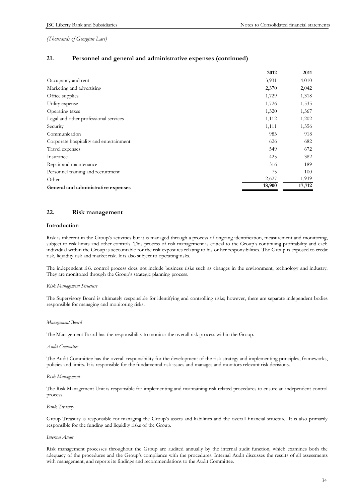# **21. Personnel and general and administrative expenses (continued)**

|                                         | 2012   | 2011   |
|-----------------------------------------|--------|--------|
| Occupancy and rent                      | 3,931  | 4,010  |
| Marketing and advertising               | 2,370  | 2,042  |
| Office supplies                         | 1,729  | 1,318  |
| Utility expense                         | 1,726  | 1,535  |
| Operating taxes                         | 1,320  | 1,367  |
| Legal and other professional services   | 1,112  | 1,202  |
| Security                                | 1,111  | 1,356  |
| Communication                           | 983    | 918    |
| Corporate hospitality and entertainment | 626    | 682    |
| Travel expenses                         | 549    | 672    |
| Insurance                               | 425    | 382    |
| Repair and maintenance                  | 316    | 189    |
| Personnel training and recruitment      | 75     | 100    |
| Other                                   | 2,627  | 1,939  |
| General and administrative expenses     | 18,900 | 17,712 |

### **22. Risk management**

#### **Introduction**

Risk is inherent in the Group's activities but it is managed through a process of ongoing identification, measurement and monitoring, subject to risk limits and other controls. This process of risk management is critical to the Group's continuing profitability and each individual within the Group is accountable for the risk exposures relating to his or her responsibilities. The Group is exposed to credit risk, liquidity risk and market risk. It is also subject to operating risks.

The independent risk control process does not include business risks such as changes in the environment, technology and industry. They are monitored through the Group's strategic planning process.

#### *Risk Management Structure*

The Supervisory Board is ultimately responsible for identifying and controlling risks; however, there are separate independent bodies responsible for managing and monitoring risks.

#### *Management Board*

The Management Board has the responsibility to monitor the overall risk process within the Group.

#### *Audit Committee*

The Audit Committee has the overall responsibility for the development of the risk strategy and implementing principles, frameworks, policies and limits. It is responsible for the fundamental risk issues and manages and monitors relevant risk decisions.

#### *Risk Management*

The Risk Management Unit is responsible for implementing and maintaining risk related procedures to ensure an independent control process.

#### *Bank Treasury*

Group Treasury is responsible for managing the Group's assets and liabilities and the overall financial structure. It is also primarily responsible for the funding and liquidity risks of the Group.

#### *Internal Audit*

Risk management processes throughout the Group are audited annually by the internal audit function, which examines both the adequacy of the procedures and the Group's compliance with the procedures. Internal Audit discusses the results of all assessments with management, and reports its findings and recommendations to the Audit Committee.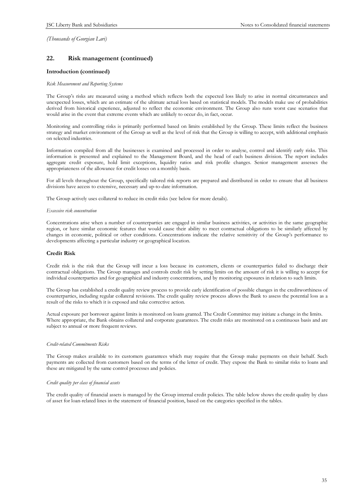# **22. Risk management (continued)**

#### **Introduction (continued)**

#### *Risk Measurement and Reporting Systems*

The Group's risks are measured using a method which reflects both the expected loss likely to arise in normal circumstances and unexpected losses, which are an estimate of the ultimate actual loss based on statistical models. The models make use of probabilities derived from historical experience, adjusted to reflect the economic environment. The Group also runs worst case scenarios that would arise in the event that extreme events which are unlikely to occur do, in fact, occur.

Monitoring and controlling risks is primarily performed based on limits established by the Group. These limits reflect the business strategy and market environment of the Group as well as the level of risk that the Group is willing to accept, with additional emphasis on selected industries.

Information compiled from all the businesses is examined and processed in order to analyse, control and identify early risks. This information is presented and explained to the Management Board, and the head of each business division. The report includes aggregate credit exposure, hold limit exceptions, liquidity ratios and risk profile changes. Senior management assesses the appropriateness of the allowance for credit losses on a monthly basis.

For all levels throughout the Group, specifically tailored risk reports are prepared and distributed in order to ensure that all business divisions have access to extensive, necessary and up-to-date information.

The Group actively uses collateral to reduce its credit risks (see below for more details).

#### *Excessive risk concentration*

Concentrations arise when a number of counterparties are engaged in similar business activities, or activities in the same geographic region, or have similar economic features that would cause their ability to meet contractual obligations to be similarly affected by changes in economic, political or other conditions. Concentrations indicate the relative sensitivity of the Group's performance to developments affecting a particular industry or geographical location.

#### **Credit Risk**

Credit risk is the risk that the Group will incur a loss because its customers, clients or counterparties failed to discharge their contractual obligations. The Group manages and controls credit risk by setting limits on the amount of risk it is willing to accept for individual counterparties and for geographical and industry concentrations, and by monitoring exposures in relation to such limits.

The Group has established a credit quality review process to provide early identification of possible changes in the creditworthiness of counterparties, including regular collateral revisions. The credit quality review process allows the Bank to assess the potential loss as a result of the risks to which it is exposed and take corrective action.

Actual exposure per borrower against limits is monitored on loans granted. The Credit Committee may initiate a change in the limits. Where appropriate, the Bank obtains collateral and corporate guarantees. The credit risks are monitored on a continuous basis and are subject to annual or more frequent reviews.

#### *Credit-related Commitments Risks*

The Group makes available to its customers guarantees which may require that the Group make payments on their behalf. Such payments are collected from customers based on the terms of the letter of credit. They expose the Bank to similar risks to loans and these are mitigated by the same control processes and policies.

#### *Credit quality per class of financial assets*

The credit quality of financial assets is managed by the Group internal credit policies. The table below shows the credit quality by class of asset for loan-related lines in the statement of financial position, based on the categories specified in the tables.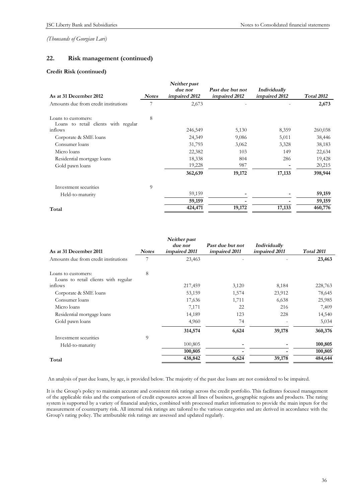# **22. Risk management (continued)**

#### **Credit Risk (continued)**

| As at 31 December 2012                                      | <b>Notes</b> | Neither past<br>due nor<br>impaired 2012 | Past due but not<br>impaired 2012 | Individually<br>impaired 2012 | Total 2012 |
|-------------------------------------------------------------|--------------|------------------------------------------|-----------------------------------|-------------------------------|------------|
| Amounts due from credit institutions                        |              | 2,673                                    |                                   |                               | 2,673      |
| Loans to customers:<br>Loans to retail clients with regular | 8            |                                          |                                   |                               |            |
| inflows                                                     |              | 246,549                                  | 5,130                             | 8,359                         | 260,038    |
| Corporate & SME loans                                       |              | 24,349                                   | 9,086                             | 5,011                         | 38,446     |
| Consumer loans                                              |              | 31,793                                   | 3,062                             | 3,328                         | 38,183     |
| Micro loans                                                 |              | 22,382                                   | 103                               | 149                           | 22,634     |
| Residential mortgage loans                                  |              | 18,338                                   | 804                               | 286                           | 19,428     |
| Gold pawn loans                                             |              | 19,228                                   | 987                               |                               | 20,215     |
|                                                             |              | 362,639                                  | 19,172                            | 17,133                        | 398,944    |
| Investment securities                                       | 9            |                                          |                                   |                               |            |
| Held-to-maturity                                            |              | 59,159                                   |                                   |                               | 59,159     |
|                                                             |              | 59,159                                   |                                   |                               | 59,159     |
| Total                                                       |              | 424,471                                  | 19,172                            | 17,133                        | 460,776    |

| As at 31 December 2011               | <b>Notes</b> | Neither past<br>due nor<br>impaired 2011 | Past due but not<br>impaired 2011 | Individually<br>impaired 2011 | <b>Total 2011</b> |
|--------------------------------------|--------------|------------------------------------------|-----------------------------------|-------------------------------|-------------------|
| Amounts due from credit institutions |              | 23,463                                   |                                   |                               | 23,463            |
| Loans to customers:                  | 8            |                                          |                                   |                               |                   |
| Loans to retail clients with regular |              |                                          |                                   |                               |                   |
| inflows                              |              | 217,459                                  | 3,120                             | 8,184                         | 228,763           |
| Corporate & SME loans                |              | 53,159                                   | 1,574                             | 23,912                        | 78,645            |
| Consumer loans                       |              | 17,636                                   | 1,711                             | 6,638                         | 25,985            |
| Micro loans                          |              | 7,171                                    | 22                                | 216                           | 7,409             |
| Residential mortgage loans           |              | 14,189                                   | 123                               | 228                           | 14,540            |
| Gold pawn loans                      |              | 4,960                                    | 74                                |                               | 5,034             |
|                                      |              | 314,574                                  | 6,624                             | 39,178                        | 360,376           |
| Investment securities                | 9            |                                          |                                   |                               |                   |
| Held-to-maturity                     |              | 100,805                                  |                                   |                               | 100,805           |
|                                      |              | 100,805                                  |                                   |                               | 100,805           |
| Total                                |              | 438,842                                  | 6,624                             | 39,178                        | 484,644           |

An analysis of past due loans, by age, is provided below. The majority of the past due loans are not considered to be impaired.

It is the Group's policy to maintain accurate and consistent risk ratings across the credit portfolio. This facilitates focused management of the applicable risks and the comparison of credit exposures across all lines of business, geographic regions and products. The rating system is supported by a variety of financial analytics, combined with processed market information to provide the main inputs for the measurement of counterparty risk. All internal risk ratings are tailored to the various categories and are derived in accordance with the Group's rating policy. The attributable risk ratings are assessed and updated regularly.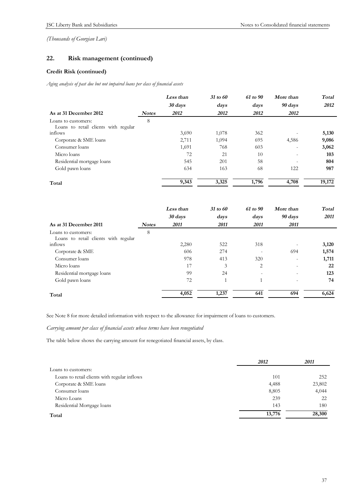# **22. Risk management (continued)**

### **Credit Risk (continued)**

*Aging analysis of past due but not impaired loans per class of financial assets* 

|                                      |              | Less than | 31 to 60 | $61$ to $90$ | More than                | Total  |
|--------------------------------------|--------------|-----------|----------|--------------|--------------------------|--------|
|                                      |              | 30 days   | days     | days         | 90 days                  | 2012   |
| As at 31 December 2012               | <b>Notes</b> | 2012      | 2012     | 2012         | 2012                     |        |
| Loans to customers:                  | 8            |           |          |              |                          |        |
| Loans to retail clients with regular |              |           |          |              |                          |        |
| inflows                              |              | 3,690     | 1,078    | 362          |                          | 5,130  |
| Corporate & SME loans                |              | 2,711     | 1,094    | 695          | 4,586                    | 9,086  |
| Consumer loans                       |              | 1,691     | 768      | 603          | $\overline{\phantom{a}}$ | 3,062  |
| Micro loans                          |              | 72        | 21       | 10           | $\overline{\phantom{a}}$ | 103    |
| Residential mortgage loans           |              | 545       | 201      | 58           | $\overline{\phantom{0}}$ | 804    |
| Gold pawn loans                      |              | 634       | 163      | 68           | 122                      | 987    |
| Total                                |              | 9,343     | 3,325    | 1,796        | 4,708                    | 19,172 |

|                                      |              | Less than | 31 to 60       | 61 to 90                 | More than                | Total |
|--------------------------------------|--------------|-----------|----------------|--------------------------|--------------------------|-------|
|                                      |              | 30 days   | days           | days                     | 90 days                  | 2011  |
| As at 31 December 2011               | <b>Notes</b> | 2011      | 2011           | 2011                     | 2011                     |       |
| Loans to customers:                  | 8            |           |                |                          |                          |       |
| Loans to retail clients with regular |              |           |                |                          |                          |       |
| inflows                              |              | 2,280     | 522            | 318                      |                          | 3,120 |
| Corporate & SME                      |              | 606       | 274            |                          | 694                      | 1,574 |
| Consumer loans                       |              | 978       | 413            | 320                      | $\overline{\phantom{a}}$ | 1,711 |
| Micro loans                          |              | 17        | 3              | 2                        |                          | 22    |
| Residential mortgage loans           |              | 99        | 24             | $\overline{\phantom{a}}$ |                          | 123   |
| Gold pawn loans                      |              | 72        | $\overline{1}$ |                          |                          | 74    |
| Total                                |              | 4,052     | 1,237          | 641                      | 694                      | 6,624 |

See Note 8 for more detailed information with respect to the allowance for impairment of loans to customers.

*Carrying amount per class of financial assets whose terms have been renegotiated* 

The table below shows the carrying amount for renegotiated financial assets, by class.

|                                              | 2012   | 2011   |
|----------------------------------------------|--------|--------|
| Loans to customers:                          |        |        |
| Loans to retail clients with regular inflows | 101    | 252    |
| Corporate & SME loans                        | 4,488  | 23,802 |
| Consumer loans                               | 8,805  | 4,044  |
| Micro Loans                                  | 239    | 22     |
| Residential Mortgage loans                   | 143    | 180    |
| Total                                        | 13,776 | 28,300 |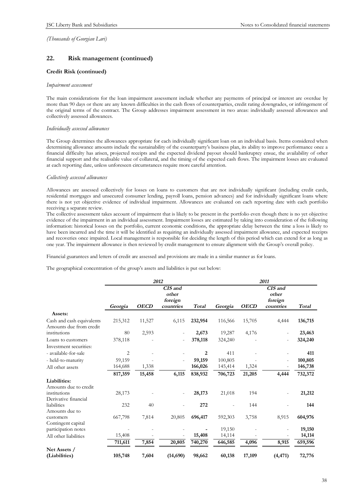# **22. Risk management (continued)**

#### **Credit Risk (continued)**

#### *Impairment assessment*

The main considerations for the loan impairment assessment include whether any payments of principal or interest are overdue by more than 90 days or there are any known difficulties in the cash flows of counterparties, credit rating downgrades, or infringement of the original terms of the contract. The Group addresses impairment assessment in two areas: individually assessed allowances and collectively assessed allowances.

#### *Individually assessed allowances*

The Group determines the allowances appropriate for each individually significant loan on an individual basis. Items considered when determining allowance amounts include the sustainability of the counterparty's business plan, its ability to improve performance once a financial difficulty has arisen, projected receipts and the expected dividend payout should bankruptcy ensue, the availability of other financial support and the realisable value of collateral, and the timing of the expected cash flows. The impairment losses are evaluated at each reporting date, unless unforeseen circumstances require more careful attention.

#### *Collectively assessed allowances*

Allowances are assessed collectively for losses on loans to customers that are not individually significant (including credit cards, residential mortgages and unsecured consumer lending, payroll loans, pension advances) and for individually significant loans where there is not yet objective evidence of individual impairment. Allowances are evaluated on each reporting date with each portfolio receiving a separate review.

The collective assessment takes account of impairment that is likely to be present in the portfolio even though there is no yet objective evidence of the impairment in an individual assessment. Impairment losses are estimated by taking into consideration of the following information: historical losses on the portfolio, current economic conditions, the appropriate delay between the time a loss is likely to have been incurred and the time it will be identified as requiring an individually assessed impairment allowance, and expected receipts and recoveries once impaired. Local management is responsible for deciding the length of this period which can extend for as long as one year. The impairment allowance is then reviewed by credit management to ensure alignment with the Group's overall policy.

Financial guarantees and letters of credit are assessed and provisions are made in a similar manner as for loans.

The geographical concentration of the group's assets and liabilities is put out below:

|                                                      | 2012    |             |                                          |         | 2011    |             |                                          |         |
|------------------------------------------------------|---------|-------------|------------------------------------------|---------|---------|-------------|------------------------------------------|---------|
|                                                      | Georgia | <b>OECD</b> | CIS and<br>other<br>foreign<br>countries | Total   | Georgia | <b>OECD</b> | CIS and<br>other<br>foreign<br>countries | Total   |
| Assets:                                              |         |             |                                          |         |         |             |                                          |         |
| Cash and cash equivalents<br>Amounts due from credit | 215,312 | 11,527      | 6,115                                    | 232,954 | 116,566 | 15,705      | 4,444                                    | 136,715 |
| institutions                                         | 80      | 2,593       |                                          | 2,673   | 19,287  | 4,176       |                                          | 23,463  |
| Loans to customers                                   | 378,118 |             |                                          | 378,118 | 324,240 |             |                                          | 324,240 |
| Investment securities:                               |         |             |                                          |         |         |             |                                          |         |
| - available-for-sale                                 | 2       |             |                                          | 2       | 411     |             |                                          | 411     |
| - held-to-maturity                                   | 59,159  |             |                                          | 59,159  | 100,805 |             |                                          | 100,805 |
| All other assets                                     | 164,688 | 1,338       |                                          | 166,026 | 145,414 | 1,324       |                                          | 146,738 |
|                                                      | 817,359 | 15,458      | 6,115                                    | 838,932 | 706,723 | 21,205      | 4,444                                    | 732,372 |
| Liabilities:                                         |         |             |                                          |         |         |             |                                          |         |
| Amounts due to credit                                |         |             |                                          |         |         |             |                                          |         |
| institutions                                         | 28,173  |             |                                          | 28,173  | 21,018  | 194         |                                          | 21,212  |
| Derivative financial                                 |         |             |                                          |         |         |             |                                          |         |
| liabilities                                          | 232     | 40          |                                          | 272     |         | 144         |                                          | 144     |
| Amounts due to                                       |         |             |                                          |         |         |             |                                          |         |
| customers                                            | 667,798 | 7,814       | 20,805                                   | 696,417 | 592,303 | 3,758       | 8,915                                    | 604,976 |
| Contingent capital<br>participation notes            |         |             |                                          |         | 19,150  |             |                                          | 19,150  |
| All other liabilities                                | 15,408  |             |                                          | 15,408  | 14,114  |             |                                          | 14,114  |
|                                                      | 711,611 | 7,854       | 20,805                                   | 740,270 | 646,585 | 4,096       | 8,915                                    | 659,596 |
| Net Assets /                                         |         |             |                                          |         |         |             |                                          |         |
| (Liabilities)                                        | 105,748 | 7,604       | (14,690)                                 | 98,662  | 60,138  | 17,109      | (4, 471)                                 | 72,776  |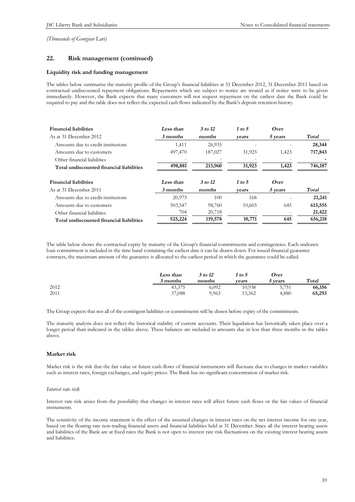# **22. Risk management (continued)**

#### **Liquidity risk and funding management**

The tables below summarise the maturity profile of the Group's financial liabilities at 31 December 2012, 31 December 2011 based on contractual undiscounted repayment obligations. Repayments which are subject to notice are treated as if notice were to be given immediately. However, the Bank expects that many customers will not request repayment on the earliest date the Bank could be required to pay and the table does not reflect the expected cash flows indicated by the Bank's deposit retention history.

| <b>Financial liabilities</b>             | Less than | $3$ to 12 | 1 to 5 | Over    |         |
|------------------------------------------|-----------|-----------|--------|---------|---------|
| As at 31 December 2012                   | 3 months  | months    | vears  | 5 years | Total   |
| Amounts due to credit institutions       | 1,411     | 26,933    |        |         | 28,344  |
| Amounts due to customers                 | 497,470   | 187,027   | 31,923 | 1,423   | 717,843 |
| Other financial liabilities              |           |           |        |         |         |
| Total undiscounted financial liabilities | 498,881   | 213,960   | 31,923 | 1,423   | 746,187 |
| <b>Financial liabilities</b>             | Less than | 3 to 12   | 1 to 5 | Over    |         |
| As at 31 December 2011                   | 3 months  | months    | vears  | 5 years | Total   |
| Amounts due to credit institutions       | 20,973    | 100       | 168    |         | 21,241  |
| Amounts due to customers                 | 503,547   | 98,760    | 10,603 | 645     | 613,555 |
| Other financial liabilities              | 704       | 20,718    |        |         | 21,422  |
| Total undiscounted financial liabilities | 525,224   | 119,578   | 10,771 | 645     | 656,218 |

The table below shows the contractual expiry by maturity of the Group's financial commitments and contingencies. Each undrawn loan commitment is included in the time band containing the earliest date it can be drawn down. For issued financial guarantee contracts, the maximum amount of the guarantee is allocated to the earliest period in which the guarantee could be called.

|      | Less than | 3 to 12 | 1 to 5 | Over    |        |
|------|-----------|---------|--------|---------|--------|
|      | 3 months  | months  | vears  | 5 years | Total  |
| 2012 | 43,375    | 6,092   | 10,938 | 5,751   | 66,156 |
| 2011 | 37,088    | 9,963   | 13,362 | 4,880   | 65,293 |

The Group expects that not all of the contingent liabilities or commitments will be drawn before expiry of the commitments.

The maturity analysis does not reflect the historical stability of current accounts. Their liquidation has historically taken place over a longer period than indicated in the tables above. These balances are included in amounts due in less than three months in the tables above.

#### **Market risk**

Market risk is the risk that the fair value or future cash flows of financial instruments will fluctuate due to changes in market variables such as interest rates, foreign exchanges, and equity prices. The Bank has no significant concentration of market risk.

#### *Interest rate risk*

Interest rate risk arises from the possibility that changes in interest rates will affect future cash flows or the fair values of financial instruments.

The sensitivity of the income statement is the effect of the assumed changes in interest rates on the net interest income for one year, based on the floating rate non-trading financial assets and financial liabilities held at 31 December. Since all the interest bearing assets and liabilities of the Bank are at fixed rates the Bank is not open to interest rate risk fluctuations on the existing interest bearing assets and liabilities.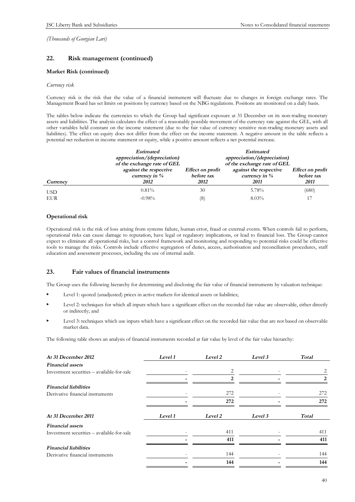# **22. Risk management (continued)**

#### **Market Risk (continued)**

#### *Currency risk*

Currency risk is the risk that the value of a financial instrument will fluctuate due to changes in foreign exchange rates. The Management Board has set limits on positions by currency based on the NBG regulations. Positions are monitored on a daily basis.

The tables below indicate the currencies to which the Group had significant exposure at 31 December on its non-trading monetary assets and liabilities. The analysis calculates the effect of a reasonably possible movement of the currency rate against the GEL, with all other variables held constant on the income statement (due to the fair value of currency sensitive non-trading monetary assets and liabilities). The effect on equity does not differ from the effect on the income statement. A negative amount in the table reflects a potential net reduction in income statement or equity, while a positive amount reflects a net potential increase.

|            | <b>Estimated</b><br>appreciation/(depreciation)<br>of the exchange rate of GEL |                  | <b>Estimated</b><br>appreciation/(depreciation)<br>of the exchange rate of GEL |                  |
|------------|--------------------------------------------------------------------------------|------------------|--------------------------------------------------------------------------------|------------------|
| Currency   | against the respective                                                         | Effect on profit | against the respective                                                         | Effect on profit |
|            | currency in $%$                                                                | before tax       | currency in $%$                                                                | before tax       |
|            | 2012                                                                           | 2012             | <i>2011</i>                                                                    | 2011             |
| <b>USD</b> | $0.81\%$                                                                       | 30               | 5.78%                                                                          | (680)            |
| <b>EUR</b> | $-0.98%$                                                                       | (8)              | $8.03\%$                                                                       |                  |

#### **Operational risk**

Operational risk is the risk of loss arising from systems failure, human error, fraud or external events. When controls fail to perform, operational risks can cause damage to reputation, have legal or regulatory implications, or lead to financial loss. The Group cannot expect to eliminate all operational risks, but a control framework and monitoring and responding to potential risks could be effective tools to manage the risks. Controls include effective segregation of duties, access, authorisation and reconciliation procedures, staff education and assessment processes, including the use of internal audit.

# **23. Fair values of financial instruments**

The Group uses the following hierarchy for determining and disclosing the fair value of financial instruments by valuation technique:

- Level 1: quoted (unadjusted) prices in active markets for identical assets or liabilities;
- Level 2: techniques for which all inputs which have a significant effect on the recorded fair value are observable, either directly or indirectly; and
- Level 3: techniques which use inputs which have a significant effect on the recorded fair value that are not based on observable market data.

The following table shows an analysis of financial instruments recorded at fair value by level of the fair value hierarchy:

| At 31 December 2012                        | Level 1 | Level 2       | Level 3 | Total                       |
|--------------------------------------------|---------|---------------|---------|-----------------------------|
| <b>Financial</b> assets                    |         |               |         |                             |
| Investment securities – available-for-sale |         |               |         | 2                           |
|                                            |         | $\mathcal{P}$ |         | $\mathcal{D}_{\mathcal{L}}$ |
| <b>Financial liabilities</b>               |         |               |         |                             |
| Derivative financial instruments           |         | 272           |         | 272                         |
|                                            |         | 272           |         | 272                         |
| At 31 December 2011                        | Level 1 | Level 2       | Level 3 | Total                       |
| <b>Financial assets</b>                    |         |               |         |                             |
| Investment securities - available-for-sale |         | 411           |         | 411                         |
|                                            |         | 411           |         | 411                         |
| <b>Financial liabilities</b>               |         |               |         |                             |
| Derivative financial instruments           |         | 144           |         | 144                         |
|                                            |         | 144           |         | 144                         |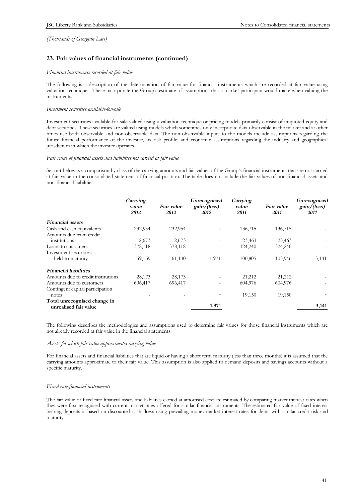# **23. Fair values of financial instruments (continued)**

#### *Financial instruments recorded at fair value*

The following is a description of the determination of fair value for financial instruments which are recorded at fair value using valuation techniques. These incorporate the Group's estimate of assumptions that a market participant would make when valuing the instruments.

#### *Investment securities available-for-sale*

Investment securities available-for-sale valued using a valuation technique or pricing models primarily consist of unquoted equity and debt securities. These securities are valued using models which sometimes only incorporate data observable in the market and at other times use both observable and non-observable data. The non-observable inputs to the models include assumptions regarding the future financial performance of the investee, its risk profile, and economic assumptions regarding the industry and geographical jurisdiction in which the investee operates.

#### *Fair value of financial assets and liabilities not carried at fair value*

Set out below is a comparison by class of the carrying amounts and fair values of the Group's financial instruments that are not carried at fair value in the consolidated statement of financial position. The table does not include the fair values of non-financial assets and non-financial liabilities.

|                                                       | Carrying<br>value<br>2012 | Fair value<br>2012 | Unrecognised<br>gain/(loss)<br>2012 | Carrying<br>value<br>2011 | Fair value<br>2011 | Unrecognised<br>gain/(loss)<br>2011 |
|-------------------------------------------------------|---------------------------|--------------------|-------------------------------------|---------------------------|--------------------|-------------------------------------|
| <b>Financial</b> assets                               |                           |                    |                                     |                           |                    |                                     |
| Cash and cash equivalents                             | 232,954                   | 232,954            |                                     | 136,715                   | 136,715            |                                     |
| Amounts due from credit                               |                           |                    |                                     |                           |                    |                                     |
| institutions                                          | 2,673                     | 2,673              |                                     | 23,463                    | 23,463             |                                     |
| Loans to customers                                    | 378,118                   | 378,118            |                                     | 324,240                   | 324,240            |                                     |
| Investment securities:                                |                           |                    |                                     |                           |                    |                                     |
| - held-to-maturity                                    | 59,159                    | 61,130             | 1,971                               | 100,805                   | 103,946            | 3,141                               |
| <b>Financial liabilities</b>                          |                           |                    |                                     |                           |                    |                                     |
| Amounts due to credit institutions                    | 28,173                    | 28,173             |                                     | 21,212                    | 21,212             |                                     |
| Amounts due to customers                              | 696,417                   | 696,417            |                                     | 604,976                   | 604,976            |                                     |
| Contingent capital participation                      |                           |                    |                                     |                           |                    |                                     |
| notes                                                 |                           |                    |                                     | 19,150                    | 19,150             |                                     |
| Total unrecognised change in<br>unrealised fair value |                           |                    | 1,971                               |                           |                    | 3,141                               |

The following describes the methodologies and assumptions used to determine fair values for those financial instruments which are not already recorded at fair value in the financial statements.

#### *Assets for which fair value approximates carrying value*

For financial assets and financial liabilities that are liquid or having a short term maturity (less than three months) it is assumed that the carrying amounts approximate to their fair value. This assumption is also applied to demand deposits and savings accounts without a specific maturity.

#### *Fixed rate financial instruments*

The fair value of fixed rate financial assets and liabilities carried at amortised cost are estimated by comparing market interest rates when they were first recognised with current market rates offered for similar financial instruments. The estimated fair value of fixed interest bearing deposits is based on discounted cash flows using prevailing money-market interest rates for debts with similar credit risk and maturity.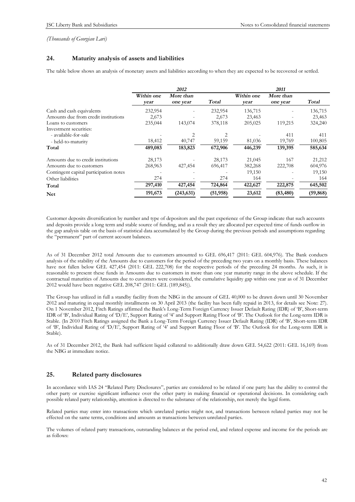# **24. Maturity analysis of assets and liabilities**

The table below shows an analysis of monetary assets and liabilities according to when they are expected to be recovered or settled.

|                                        | 2012               |                              |           | 2011               |                       |           |  |
|----------------------------------------|--------------------|------------------------------|-----------|--------------------|-----------------------|-----------|--|
|                                        | Within one<br>vear | <b>More than</b><br>one year | Total     | Within one<br>vear | More than<br>one year | Total     |  |
| Cash and cash equivalents              | 232,954            |                              | 232,954   | 136,715            |                       | 136,715   |  |
| Amounts due from credit institutions   | 2,673              |                              | 2,673     | 23,463             |                       | 23,463    |  |
| Loans to customers                     | 235,044            | 143,074                      | 378,118   | 205,025            | 119,215               | 324,240   |  |
| Investment securities:                 |                    |                              |           |                    |                       |           |  |
| - available-for-sale                   |                    | 2                            | 2         |                    | 411                   | 411       |  |
| - held-to-maturity                     | 18,412             | 40,747                       | 59,159    | 81,036             | 19,769                | 100,805   |  |
| Total                                  | 489,083            | 183,823                      | 672,906   | 446,239            | 139,395               | 585,634   |  |
| Amounts due to credit institutions     | 28,173             |                              | 28,173    | 21,045             | 167                   | 21,212    |  |
| Amounts due to customers               | 268,963            | 427,454                      | 696,417   | 382,268            | 222,708               | 604,976   |  |
| Contingent capital participation notes |                    |                              |           | 19,150             |                       | 19,150    |  |
| Other liabilities                      | 274                |                              | 274       | 164                |                       | 164       |  |
| Total                                  | 297,410            | 427,454                      | 724,864   | 422,627            | 222,875               | 645,502   |  |
| <b>Net</b>                             | 191,673            | (243, 631)                   | (51, 958) | 23,612             | (83, 480)             | (59, 868) |  |

Customer deposits diversification by number and type of depositors and the past experience of the Group indicate that such accounts and deposits provide a long term and stable source of funding, and as a result they are allocated per expected time of funds outflow in the gap analysis table on the basis of statistical data accumulated by the Group during the previous periods and assumptions regarding the "permanent" part of current account balances.

As of 31 December 2012 total Amounts due to customers amounted to GEL 696,417 (2011: GEL 604,976). The Bank conducts analysis of the stability of the Amounts due to customers for the period of the preceding two years on a monthly basis. These balances have not fallen below GEL 427,454 (2011: GEL 222,708) for the respective periods of the preceding 24 months. As such, it is reasonable to present these funds in Amounts due to customers in more than one year maturity range in the above schedule. If the contractual maturities of Amounts due to customers were considered, the cumulative liquidity gap within one year as of 31 December 2012 would have been negative GEL 208,747 (2011: GEL (189,845)).

The Group has utilized in full a standby facility from the NBG in the amount of GEL 40,000 to be drawn down until 30 November 2012 and maturing in equal monthly installments on 30 April 2013 (the facility has been fully repaid in 2013, for details see Note: 27). On 1 November 2012, Fitch Ratings affirmed the Bank's Long-Term Foreign Currency Issuer Default Rating (IDR) of 'B', Short-term IDR of 'B', Individual Rating of 'D/E', Support Rating of '4' and Support Rating Floor of 'B'. The Outlook for the Long-term IDR is Stable. (In 2010 Fitch Ratings assigned the Bank a Long-Term Foreign Currency Issuer Default Rating (IDR) of 'B', Short-term IDR of 'B', Individual Rating of 'D/E', Support Rating of '4' and Support Rating Floor of 'B'. The Outlook for the Long-term IDR is Stable).

As of 31 December 2012, the Bank had sufficient liquid collateral to additionally draw down GEL 54,622 (2011: GEL 16,169) from the NBG at immediate notice.

# **25. Related party disclosures**

In accordance with IAS 24 "Related Party Disclosures", parties are considered to be related if one party has the ability to control the other party or exercise significant influence over the other party in making financial or operational decisions. In considering each possible related party relationship, attention is directed to the substance of the relationship, not merely the legal form.

Related parties may enter into transactions which unrelated parties might not, and transactions between related parties may not be effected on the same terms, conditions and amounts as transactions between unrelated parties.

The volumes of related party transactions, outstanding balances at the period end, and related expense and income for the periods are as follows: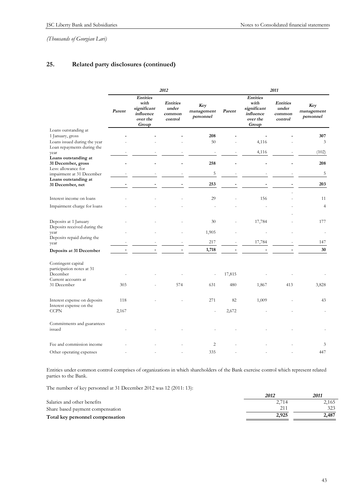# **25. Related party disclosures (continued)**

|                                                             | 2012   |                                                                          |                                               |                                | 2011   |                                                                          |                                               |                                |
|-------------------------------------------------------------|--------|--------------------------------------------------------------------------|-----------------------------------------------|--------------------------------|--------|--------------------------------------------------------------------------|-----------------------------------------------|--------------------------------|
|                                                             | Parent | <b>Entities</b><br>with<br>significant<br>influence<br>over the<br>Group | <b>Entities</b><br>under<br>common<br>control | Key<br>management<br>personnel | Parent | <b>Entities</b><br>with<br>significant<br>influence<br>over the<br>Group | <b>Entities</b><br>under<br>common<br>control | Key<br>management<br>personnel |
| Loans outstanding at                                        |        |                                                                          |                                               | 208                            |        |                                                                          |                                               | 307                            |
| 1 January, gross<br>Loans issued during the year            |        |                                                                          |                                               | 50                             |        | 4,116                                                                    |                                               | 3                              |
| Loan repayments during the                                  |        |                                                                          |                                               |                                |        |                                                                          |                                               |                                |
| year<br>Loans outstanding at                                |        |                                                                          |                                               | $\overline{\phantom{a}}$       |        | 4,116                                                                    |                                               | (102)                          |
| 31 December, gross<br>Less: allowance for                   |        |                                                                          |                                               | 258                            |        |                                                                          |                                               | 208                            |
| impairment at 31 December                                   |        |                                                                          |                                               | 5                              |        |                                                                          |                                               | 5                              |
| Loans outstanding at<br>31 December, net                    |        |                                                                          |                                               | 253                            |        |                                                                          |                                               | 203                            |
| Interest income on loans                                    |        |                                                                          |                                               | 29                             |        | 156                                                                      |                                               | 11                             |
| Impairment charge for loans                                 |        |                                                                          |                                               |                                |        |                                                                          |                                               | $\overline{4}$                 |
| Deposits at 1 January<br>Deposits received during the       |        |                                                                          |                                               | 30                             |        | 17,784                                                                   |                                               | 177                            |
| year<br>Deposits repaid during the                          |        |                                                                          |                                               | 1,905                          |        |                                                                          |                                               |                                |
| year                                                        |        |                                                                          |                                               | 217                            |        | 17,784                                                                   |                                               | 147                            |
| Deposits at 31 December                                     |        |                                                                          |                                               | 1,718                          |        |                                                                          |                                               | 30                             |
| Contingent capital<br>participation notes at 31<br>December |        |                                                                          |                                               |                                | 17,815 |                                                                          |                                               |                                |
| Current accounts at<br>31 December                          | 303    |                                                                          | 574                                           | 631                            | 480    | 1,867                                                                    | 413                                           | 3,828                          |
| Interest expense on deposits<br>Interest expense on the     | 118    |                                                                          |                                               | 271                            | 82     | 1,009                                                                    |                                               | 43                             |
| <b>CCPN</b>                                                 | 2,167  |                                                                          |                                               | ä,                             | 2,672  |                                                                          |                                               |                                |
| Commitments and guarantees<br>issued                        |        |                                                                          |                                               |                                |        |                                                                          |                                               |                                |
| Fee and commission income                                   |        |                                                                          |                                               | $\overline{c}$                 |        |                                                                          |                                               | 3                              |
| Other operating expenses                                    |        |                                                                          |                                               | 335                            |        |                                                                          |                                               | 447                            |

Entities under common control comprises of organizations in which shareholders of the Bank exercise control which represent related parties to the Bank.

The number of key personnel at 31 December 2012 was 12 (2011: 13):

|                                  | 2012  | 201.  |
|----------------------------------|-------|-------|
| Salaries and other benefits      | 2.714 | 2,165 |
| Share based payment compensation |       | 323   |
| Total key personnel compensation | 2.925 | 2,487 |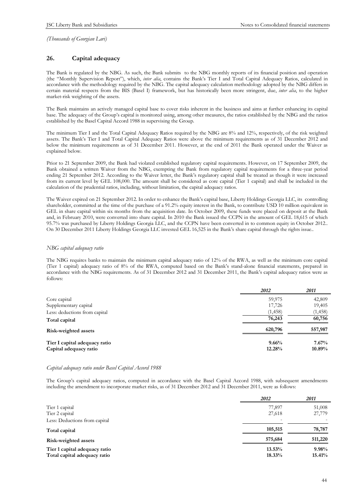# **26. Capital adequacy**

The Bank is regulated by the NBG. As such, the Bank submits to the NBG monthly reports of its financial position and operation (the "Monthly Supervision Report"), which, *inter alia*, contains the Bank's Tier I and Total Capital Adequacy Ratios, calculated in accordance with the methodology required by the NBG. The capital adequacy calculation methodology adopted by the NBG differs in certain material respects from the BIS (Basel I) framework, but has historically been more stringent, due, *inter alia*, to the higher market-risk weighting of the assets.

The Bank maintains an actively managed capital base to cover risks inherent in the business and aims at further enhancing its capital base. The adequacy of the Group's capital is monitored using, among other measures, the ratios established by the NBG and the ratios established by the Basel Capital Accord 1988 in supervising the Group.

The minimum Tier I and the Total Capital Adequacy Ratios required by the NBG are 8% and 12%, respectively, of the risk weighted assets. The Bank's Tier I and Total Capital Adequacy Ratios were above the minimum requirements as of 31 December 2012 and below the minimum requirements as of 31 December 2011. However, at the end of 2011 the Bank operated under the Waiver as explained below.

Prior to 21 September 2009, the Bank had violated established regulatory capital requirements. However, on 17 September 2009, the Bank obtained a written Waiver from the NBG, exempting the Bank from regulatory capital requirements for a three-year period ending 21 September 2012. According to the Waiver letter, the Bank's regulatory capital shall be treated as though it were increased from its current level by GEL 108,000. The amount shall be considered as core capital (Tier 1 capital) and shall be included in the calculation of the prudential ratios, including, without limitation, the capital adequacy ratios.

The Waiver expired on 21 September 2012. In order to enhance the Bank's capital base, Liberty Holdings Georgia LLC, its controlling shareholder, committed at the time of the purchase of a 91.2% equity interest in the Bank, to contribute USD 10 million equivalent in GEL in share capital within six months from the acquisition date. In October 2009, these funds were placed on deposit at the Bank and, in February 2010, were converted into share capital. In 2010 the Bank issued the CCPN in the amount of GEL 18,615 of which 95.7% was purchased by Liberty Holdings Georgia LLC, and the CCPN have been converted in to common equity in October 2012.. On 30 December 2011 Liberty Holdings Georgia LLC invested GEL 16,525 in the Bank's share capital through the rights issue..

#### *NBG capital adequacy ratio*

The NBG requires banks to maintain the minimum capital adequacy ratio of 12% of the RWA, as well as the minimum core capital (Tier 1 capital) adequacy ratio of 8% of the RWA, computed based on the Bank's stand-alone financial statements, prepared in accordance with the NBG requirements. As of 31 December 2012 and 31 December 2011, the Bank's capital adequacy ratios were as follows:

|                               | 2012     | <i>2011</i> |
|-------------------------------|----------|-------------|
| Core capital                  | 59,975   | 42,809      |
| Supplementary capital         | 17,726   | 19,405      |
| Less: deductions from capital | (1, 458) | (1, 458)    |
| Total capital                 | 76,243   | 60,756      |
| Risk-weighted assets          | 620,796  | 557,987     |
| Tier I capital adequacy ratio | 9.66%    | $7.67\%$    |
| Capital adequacy ratio        | 12.28%   | 10.89%      |

#### *Capital adequacy ratio under Basel Capital Accord 1988*

The Group's capital adequacy ratios, computed in accordance with the Basel Capital Accord 1988, with subsequent amendments including the amendment to incorporate market risks, as of 31 December 2012 and 31 December 2011, were as follows:

|                               | 2012    | 2011<br>51,008 |  |
|-------------------------------|---------|----------------|--|
| Tier 1 capital                | 77,897  |                |  |
| Tier 2 capital                | 27,618  | 27,779         |  |
| Less: Deductions from capital |         |                |  |
| Total capital                 | 105,515 | 78,787         |  |
| Risk-weighted assets          | 575,684 | 511,220        |  |
| Tier 1 capital adequacy ratio | 13.53%  | $9.98\%$       |  |
| Total capital adequacy ratio  | 18.33%  | 15.41%         |  |